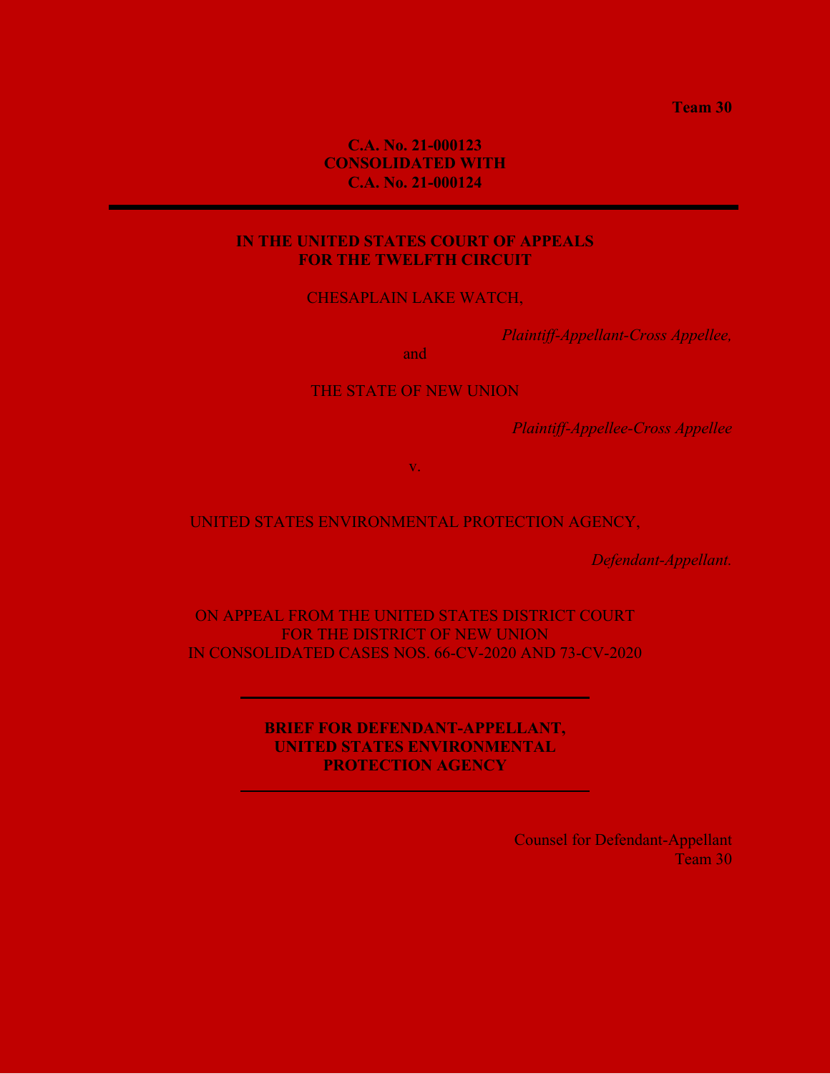**Team 30**

# **C.A. No. 21-000123 CONSOLIDATED WITH C.A. No. 21-000124**

# **IN THE UNITED STATES COURT OF APPEALS FOR THE TWELFTH CIRCUIT**

CHESAPLAIN LAKE WATCH,

*Plaintiff-Appellant-Cross Appellee,*

and

THE STATE OF NEW UNION

*Plaintiff-Appellee-Cross Appellee*

v.

# UNITED STATES ENVIRONMENTAL PROTECTION AGENCY,

*Defendant-Appellant.*

ON APPEAL FROM THE UNITED STATES DISTRICT COURT FOR THE DISTRICT OF NEW UNION IN CONSOLIDATED CASES NOS. 66-CV-2020 AND 73-CV-2020

> **BRIEF FOR DEFENDANT-APPELLANT, UNITED STATES ENVIRONMENTAL PROTECTION AGENCY**

> > Counsel for Defendant-Appellant Team 30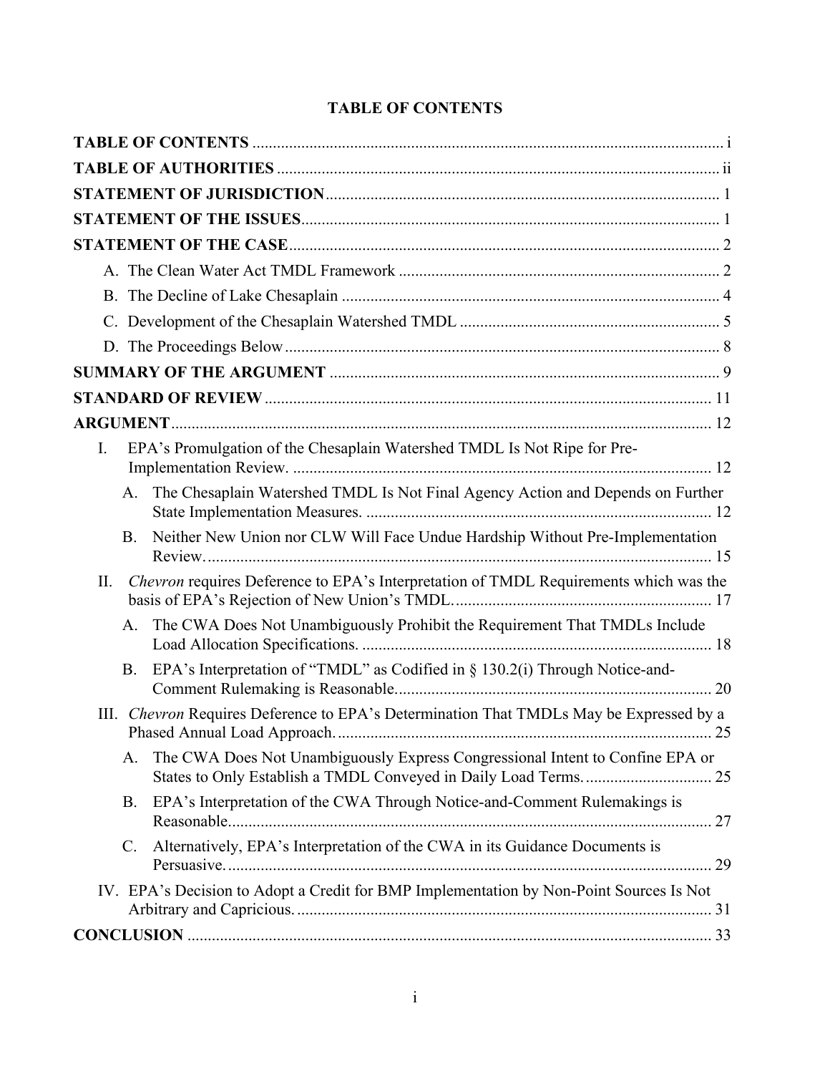| Ι.          | EPA's Promulgation of the Chesaplain Watershed TMDL Is Not Ripe for Pre-                |
|-------------|-----------------------------------------------------------------------------------------|
|             | A. The Chesaplain Watershed TMDL Is Not Final Agency Action and Depends on Further      |
| B.          | Neither New Union nor CLW Will Face Undue Hardship Without Pre-Implementation           |
| II.         | Chevron requires Deference to EPA's Interpretation of TMDL Requirements which was the   |
|             | A. The CWA Does Not Unambiguously Prohibit the Requirement That TMDLs Include           |
| <b>B.</b>   | EPA's Interpretation of "TMDL" as Codified in § 130.2(i) Through Notice-and-            |
| III.        | Chevron Requires Deference to EPA's Determination That TMDLs May be Expressed by a      |
| A.          | The CWA Does Not Unambiguously Express Congressional Intent to Confine EPA or           |
| <b>B.</b>   | EPA's Interpretation of the CWA Through Notice-and-Comment Rulemakings is               |
| $C_{\cdot}$ | Alternatively, EPA's Interpretation of the CWA in its Guidance Documents is             |
|             | IV. EPA's Decision to Adopt a Credit for BMP Implementation by Non-Point Sources Is Not |
|             |                                                                                         |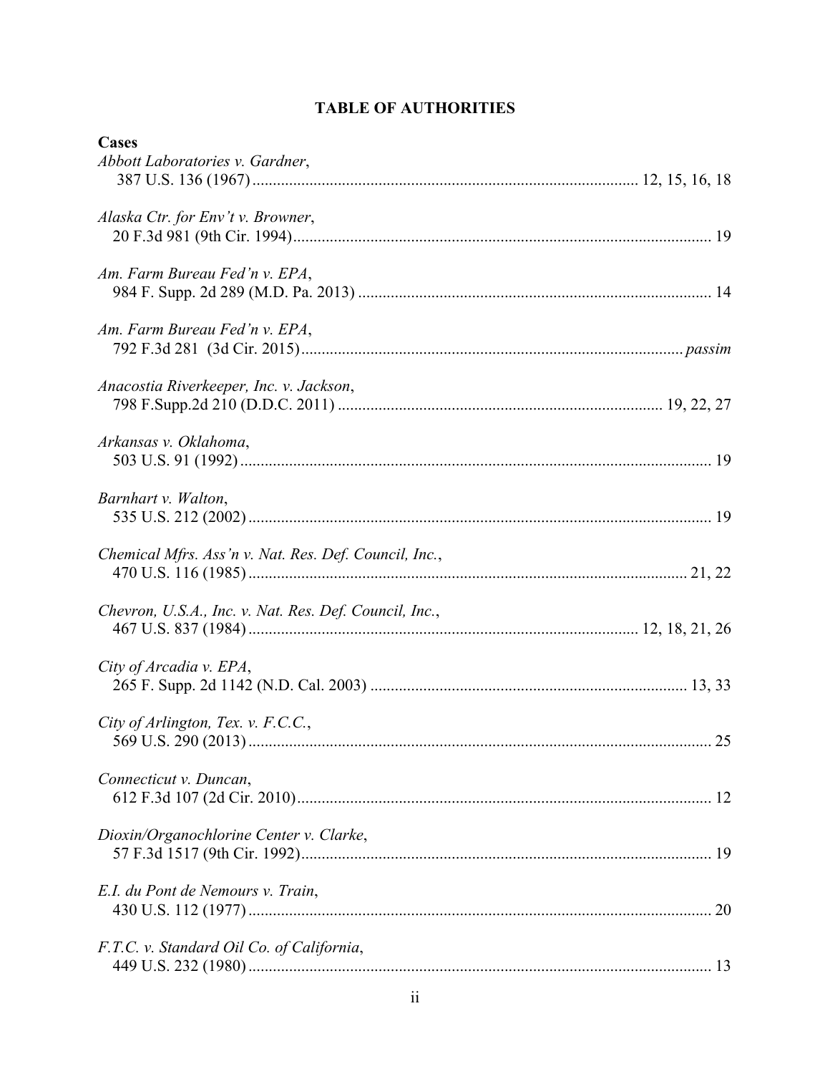# **TABLE OF AUTHORITIES**

| Cases                                                  |
|--------------------------------------------------------|
| Abbott Laboratories v. Gardner,                        |
| Alaska Ctr. for Env't v. Browner,                      |
| Am. Farm Bureau Fed'n v. EPA,                          |
| Am. Farm Bureau Fed'n v. EPA,                          |
| Anacostia Riverkeeper, Inc. v. Jackson,                |
| Arkansas v. Oklahoma,                                  |
| Barnhart v. Walton,                                    |
| Chemical Mfrs. Ass'n v. Nat. Res. Def. Council, Inc.,  |
| Chevron, U.S.A., Inc. v. Nat. Res. Def. Council, Inc., |
| City of Arcadia v. EPA,                                |
| City of Arlington, Tex. v. F.C.C.,<br>25               |
| Connecticut v. Duncan,                                 |
| Dioxin/Organochlorine Center v. Clarke,                |
| E.I. du Pont de Nemours v. Train,                      |
| F.T.C. v. Standard Oil Co. of California,              |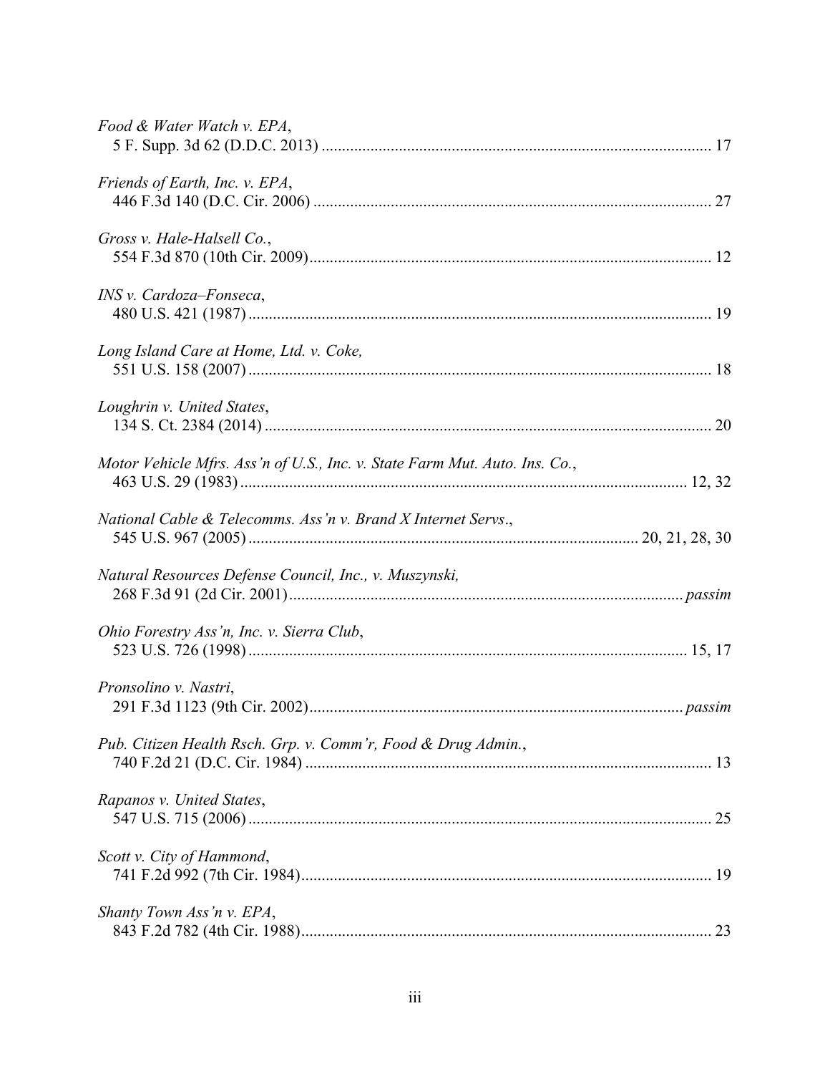| Food & Water Watch v. EPA,                                                 |  |
|----------------------------------------------------------------------------|--|
| Friends of Earth, Inc. v. EPA,                                             |  |
| Gross v. Hale-Halsell Co.,                                                 |  |
| INS v. Cardoza-Fonseca,                                                    |  |
| Long Island Care at Home, Ltd. v. Coke,                                    |  |
| Loughrin v. United States,                                                 |  |
| Motor Vehicle Mfrs. Ass'n of U.S., Inc. v. State Farm Mut. Auto. Ins. Co., |  |
| National Cable & Telecomms. Ass 'n v. Brand X Internet Servs.,             |  |
| Natural Resources Defense Council, Inc., v. Muszynski,                     |  |
| Ohio Forestry Ass'n, Inc. v. Sierra Club,                                  |  |
| Pronsolino v. Nastri,                                                      |  |
| Pub. Citizen Health Rsch. Grp. v. Comm'r, Food & Drug Admin.,              |  |
| Rapanos v. United States,                                                  |  |
| Scott v. City of Hammond,                                                  |  |
| Shanty Town Ass'n v. EPA,                                                  |  |
|                                                                            |  |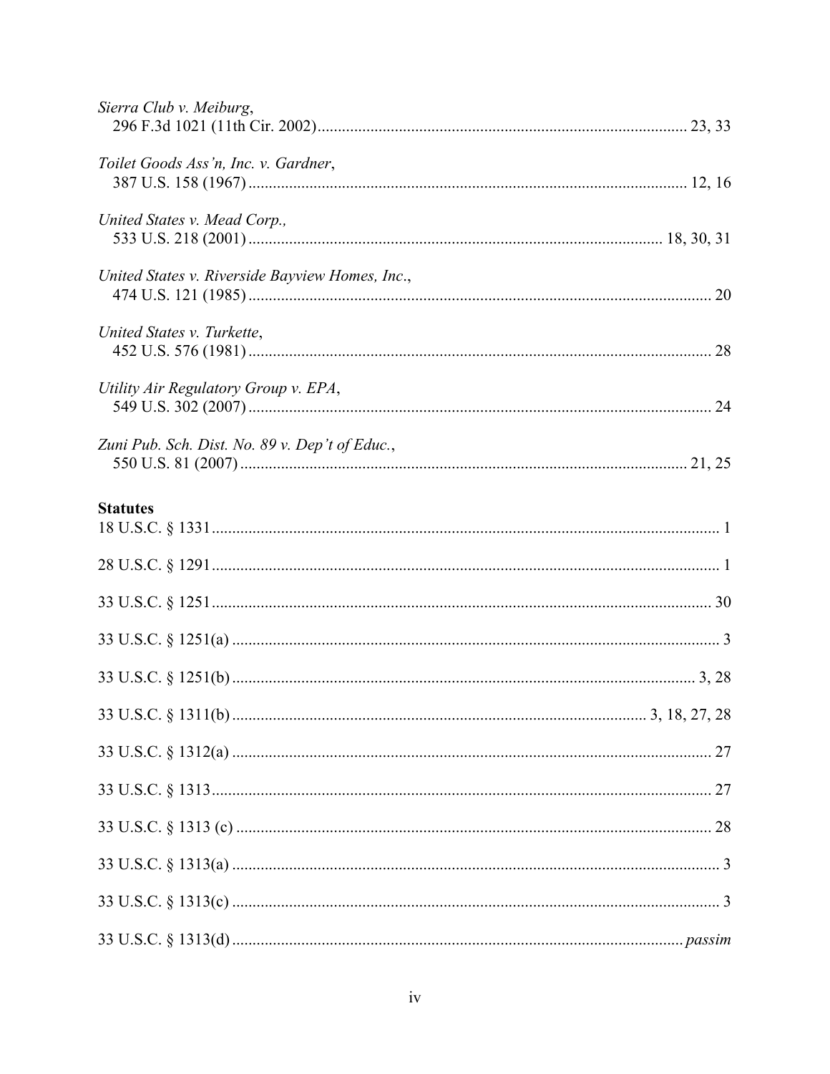| Sierra Club v. Meiburg,                         |
|-------------------------------------------------|
| Toilet Goods Ass'n, Inc. v. Gardner,            |
| United States v. Mead Corp.,                    |
| United States v. Riverside Bayview Homes, Inc., |
| United States v. Turkette,                      |
| Utility Air Regulatory Group v. EPA,            |
| Zuni Pub. Sch. Dist. No. 89 v. Dep't of Educ.,  |
| <b>Statutes</b>                                 |
|                                                 |
|                                                 |
|                                                 |
|                                                 |
|                                                 |
|                                                 |
|                                                 |
|                                                 |
|                                                 |
|                                                 |
|                                                 |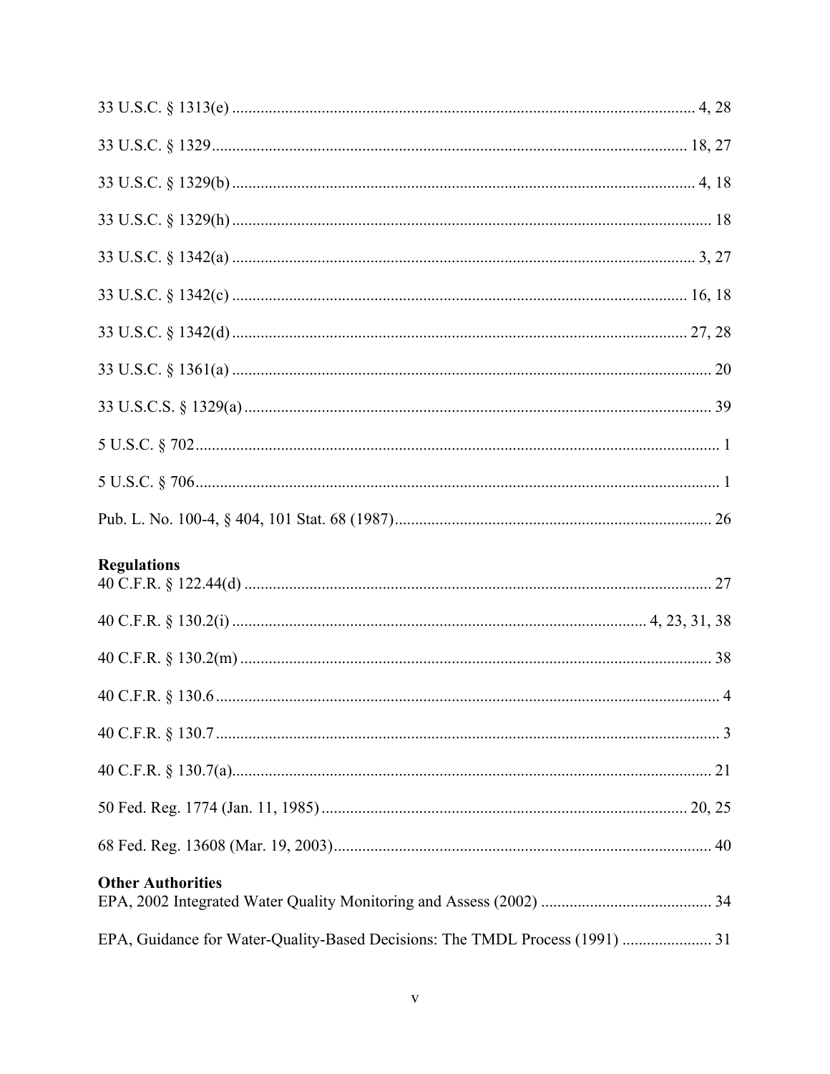| <b>Regulations</b>                                                           |
|------------------------------------------------------------------------------|
|                                                                              |
|                                                                              |
|                                                                              |
|                                                                              |
|                                                                              |
|                                                                              |
|                                                                              |
|                                                                              |
| <b>Other Authorities</b>                                                     |
| EPA, Guidance for Water-Quality-Based Decisions: The TMDL Process (1991)  31 |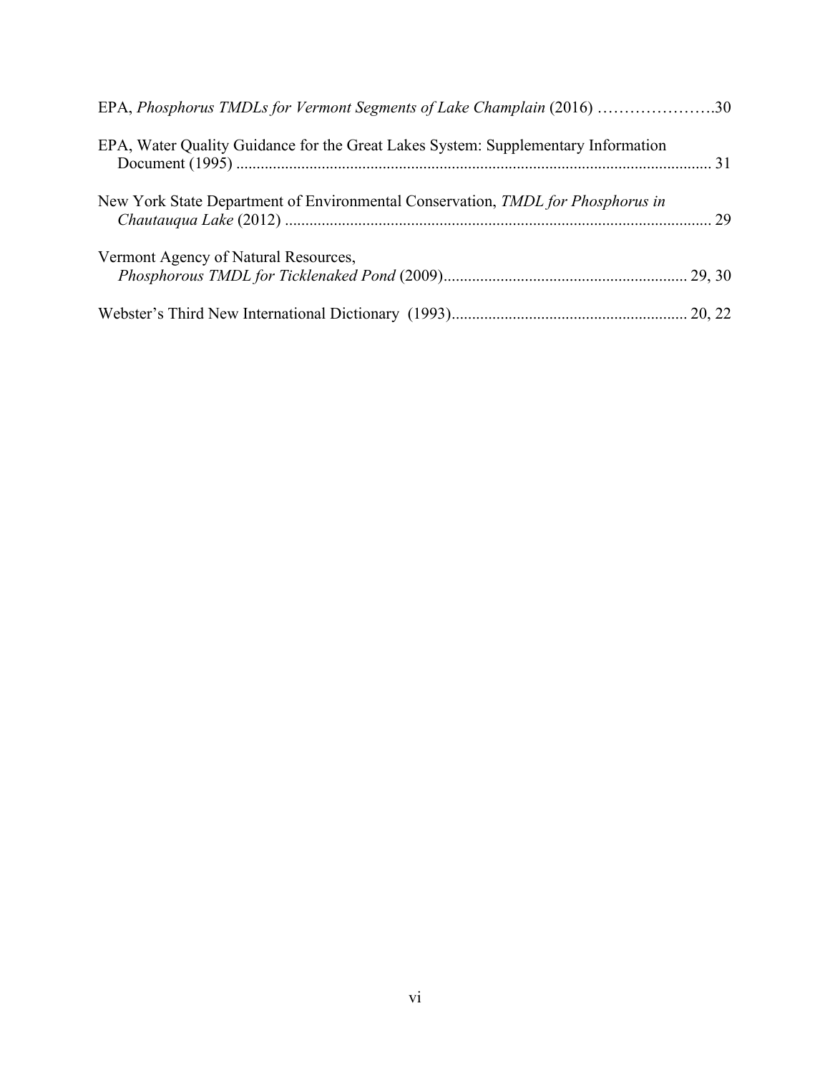| EPA, Phosphorus TMDLs for Vermont Segments of Lake Champlain (2016) 30            |  |
|-----------------------------------------------------------------------------------|--|
| EPA, Water Quality Guidance for the Great Lakes System: Supplementary Information |  |
| New York State Department of Environmental Conservation, TMDL for Phosphorus in   |  |
| Vermont Agency of Natural Resources,                                              |  |
|                                                                                   |  |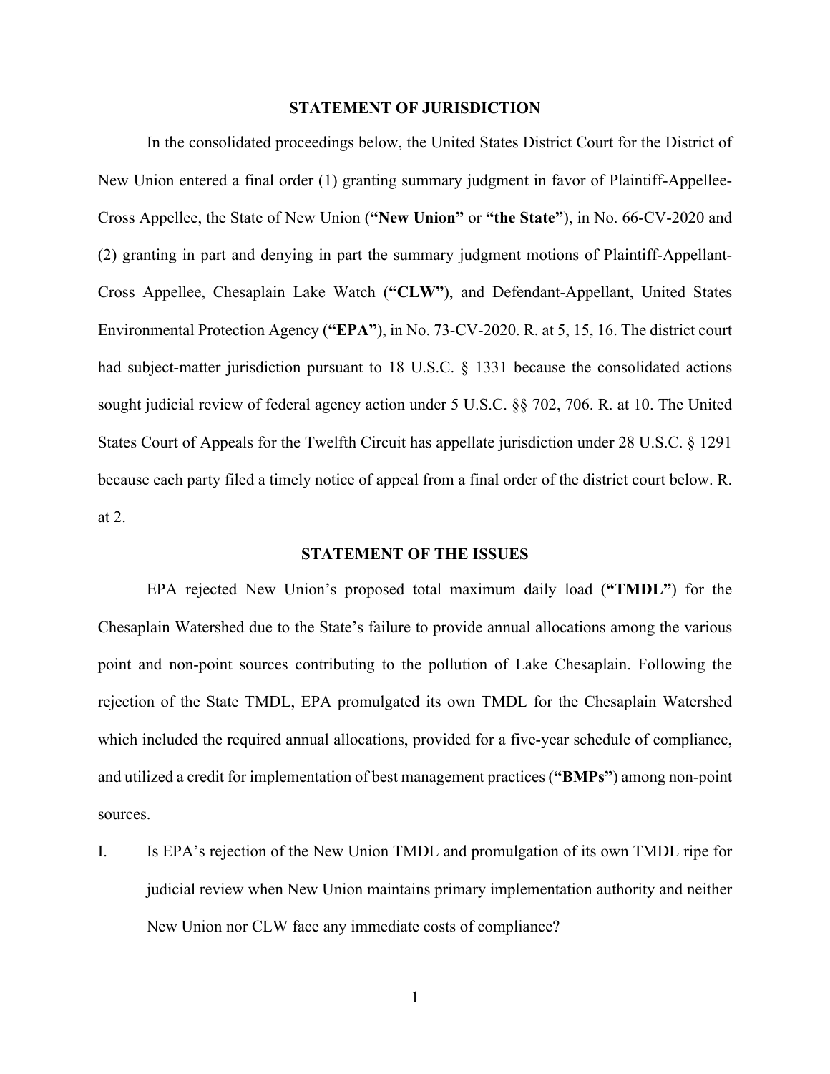#### **STATEMENT OF JURISDICTION**

In the consolidated proceedings below, the United States District Court for the District of New Union entered a final order (1) granting summary judgment in favor of Plaintiff-Appellee-Cross Appellee, the State of New Union (**"New Union"** or **"the State"**), in No. 66-CV-2020 and (2) granting in part and denying in part the summary judgment motions of Plaintiff-Appellant-Cross Appellee, Chesaplain Lake Watch (**"CLW"**), and Defendant-Appellant, United States Environmental Protection Agency (**"EPA"**), in No. 73-CV-2020. R. at 5, 15, 16. The district court had subject-matter jurisdiction pursuant to 18 U.S.C. § 1331 because the consolidated actions sought judicial review of federal agency action under 5 U.S.C. §§ 702, 706. R. at 10. The United States Court of Appeals for the Twelfth Circuit has appellate jurisdiction under 28 U.S.C. § 1291 because each party filed a timely notice of appeal from a final order of the district court below. R. at 2.

#### **STATEMENT OF THE ISSUES**

EPA rejected New Union's proposed total maximum daily load (**"TMDL"**) for the Chesaplain Watershed due to the State's failure to provide annual allocations among the various point and non-point sources contributing to the pollution of Lake Chesaplain. Following the rejection of the State TMDL, EPA promulgated its own TMDL for the Chesaplain Watershed which included the required annual allocations, provided for a five-year schedule of compliance, and utilized a credit for implementation of best management practices (**"BMPs"**) among non-point sources.

I. Is EPA's rejection of the New Union TMDL and promulgation of its own TMDL ripe for judicial review when New Union maintains primary implementation authority and neither New Union nor CLW face any immediate costs of compliance?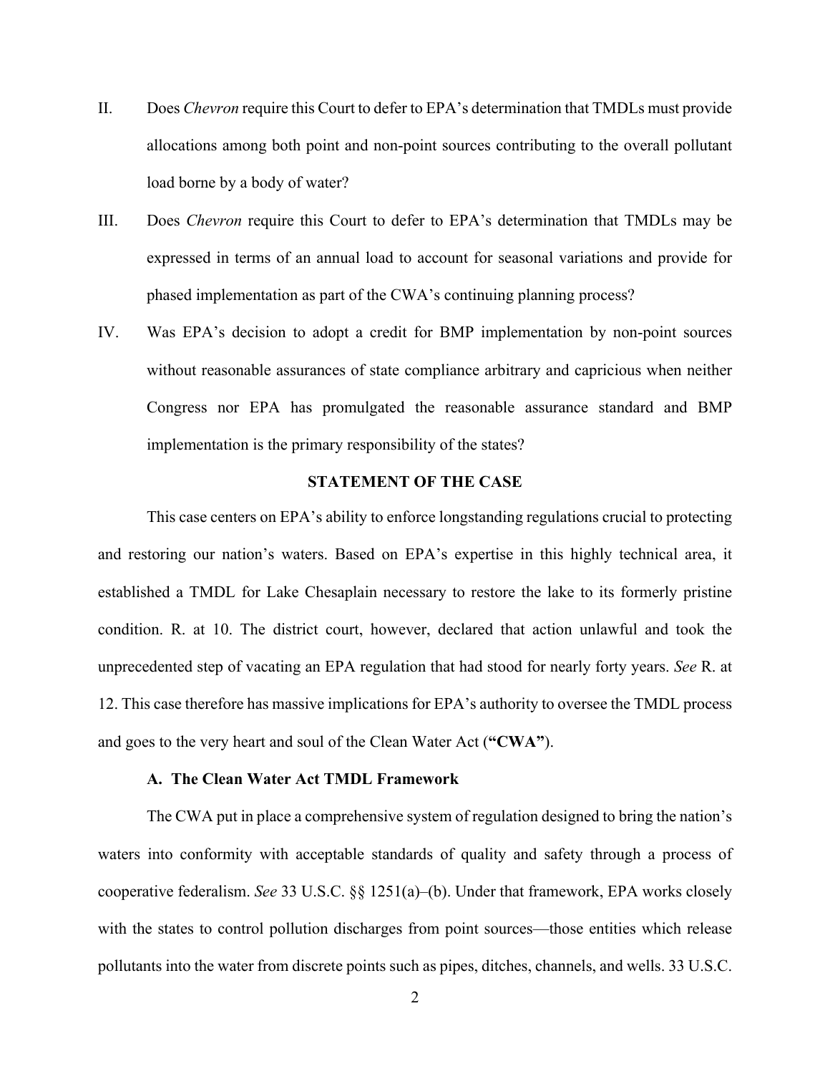- II. Does *Chevron* require this Court to defer to EPA's determination that TMDLs must provide allocations among both point and non-point sources contributing to the overall pollutant load borne by a body of water?
- III. Does *Chevron* require this Court to defer to EPA's determination that TMDLs may be expressed in terms of an annual load to account for seasonal variations and provide for phased implementation as part of the CWA's continuing planning process?
- IV. Was EPA's decision to adopt a credit for BMP implementation by non-point sources without reasonable assurances of state compliance arbitrary and capricious when neither Congress nor EPA has promulgated the reasonable assurance standard and BMP implementation is the primary responsibility of the states?

## **STATEMENT OF THE CASE**

This case centers on EPA's ability to enforce longstanding regulations crucial to protecting and restoring our nation's waters. Based on EPA's expertise in this highly technical area, it established a TMDL for Lake Chesaplain necessary to restore the lake to its formerly pristine condition. R. at 10. The district court, however, declared that action unlawful and took the unprecedented step of vacating an EPA regulation that had stood for nearly forty years. *See* R. at 12. This case therefore has massive implications for EPA's authority to oversee the TMDL process and goes to the very heart and soul of the Clean Water Act (**"CWA"**).

#### **A. The Clean Water Act TMDL Framework**

The CWA put in place a comprehensive system of regulation designed to bring the nation's waters into conformity with acceptable standards of quality and safety through a process of cooperative federalism. *See* 33 U.S.C. §§ 1251(a)–(b). Under that framework, EPA works closely with the states to control pollution discharges from point sources—those entities which release pollutants into the water from discrete points such as pipes, ditches, channels, and wells. 33 U.S.C.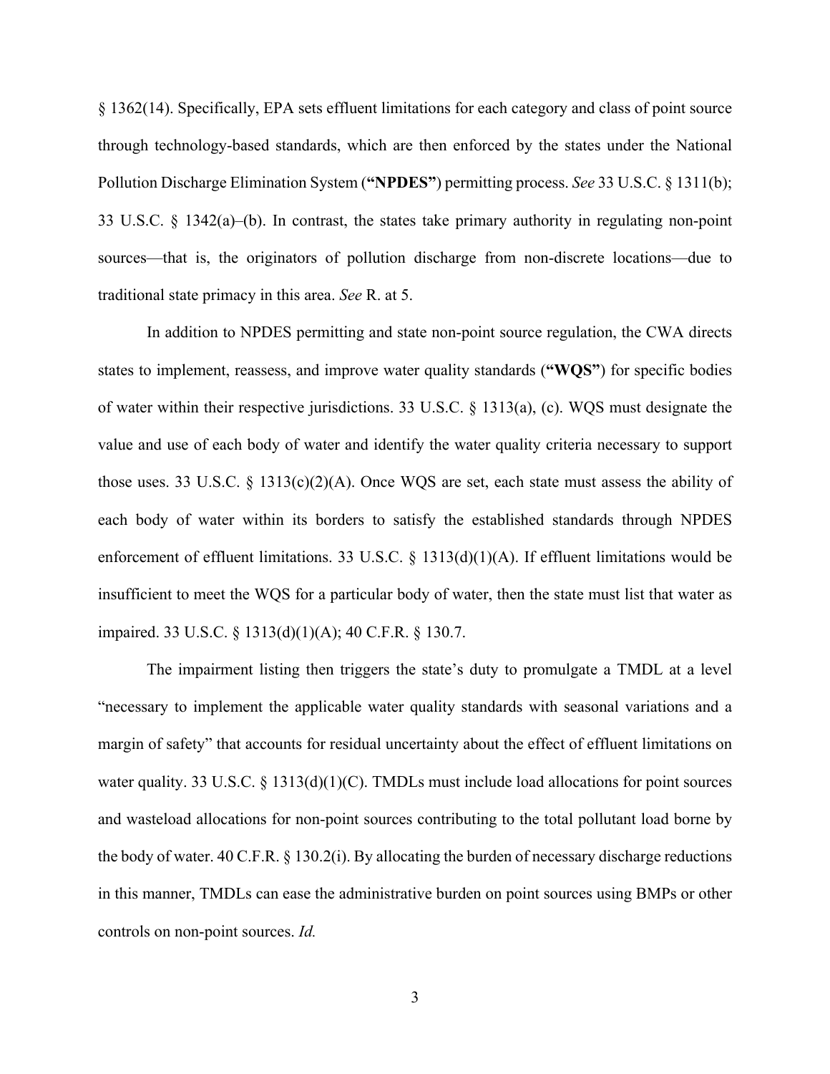§ 1362(14). Specifically, EPA sets effluent limitations for each category and class of point source through technology-based standards, which are then enforced by the states under the National Pollution Discharge Elimination System (**"NPDES"**) permitting process. *See* 33 U.S.C. § 1311(b); 33 U.S.C. § 1342(a)–(b). In contrast, the states take primary authority in regulating non-point sources—that is, the originators of pollution discharge from non-discrete locations—due to traditional state primacy in this area. *See* R. at 5.

In addition to NPDES permitting and state non-point source regulation, the CWA directs states to implement, reassess, and improve water quality standards (**"WQS"**) for specific bodies of water within their respective jurisdictions. 33 U.S.C. § 1313(a), (c). WQS must designate the value and use of each body of water and identify the water quality criteria necessary to support those uses. 33 U.S.C. § 1313(c)(2)(A). Once WQS are set, each state must assess the ability of each body of water within its borders to satisfy the established standards through NPDES enforcement of effluent limitations. 33 U.S.C. § 1313(d)(1)(A). If effluent limitations would be insufficient to meet the WQS for a particular body of water, then the state must list that water as impaired. 33 U.S.C. § 1313(d)(1)(A); 40 C.F.R. § 130.7.

The impairment listing then triggers the state's duty to promulgate a TMDL at a level "necessary to implement the applicable water quality standards with seasonal variations and a margin of safety" that accounts for residual uncertainty about the effect of effluent limitations on water quality. 33 U.S.C. § 1313(d)(1)(C). TMDLs must include load allocations for point sources and wasteload allocations for non-point sources contributing to the total pollutant load borne by the body of water. 40 C.F.R. § 130.2(i). By allocating the burden of necessary discharge reductions in this manner, TMDLs can ease the administrative burden on point sources using BMPs or other controls on non-point sources. *Id.*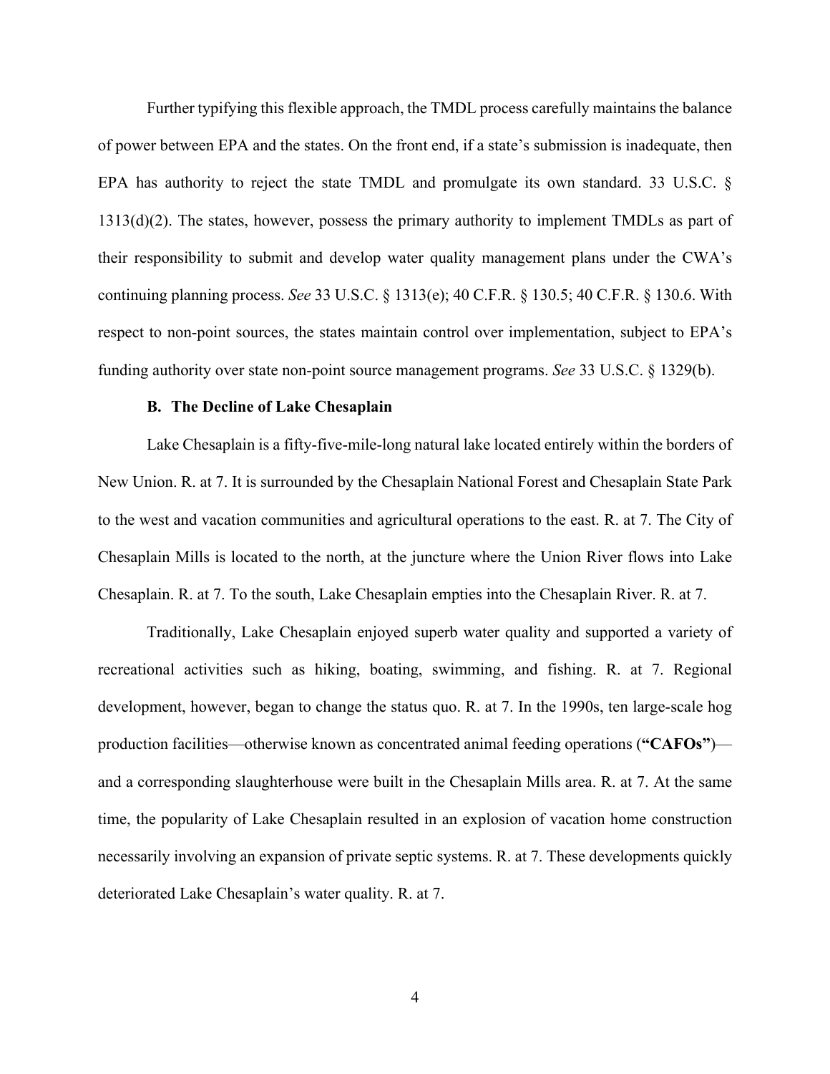Further typifying this flexible approach, the TMDL process carefully maintains the balance of power between EPA and the states. On the front end, if a state's submission is inadequate, then EPA has authority to reject the state TMDL and promulgate its own standard. 33 U.S.C. § 1313(d)(2). The states, however, possess the primary authority to implement TMDLs as part of their responsibility to submit and develop water quality management plans under the CWA's continuing planning process. *See* 33 U.S.C. § 1313(e); 40 C.F.R. § 130.5; 40 C.F.R. § 130.6. With respect to non-point sources, the states maintain control over implementation, subject to EPA's funding authority over state non-point source management programs. *See* 33 U.S.C. § 1329(b).

#### **B. The Decline of Lake Chesaplain**

Lake Chesaplain is a fifty-five-mile-long natural lake located entirely within the borders of New Union. R. at 7. It is surrounded by the Chesaplain National Forest and Chesaplain State Park to the west and vacation communities and agricultural operations to the east. R. at 7. The City of Chesaplain Mills is located to the north, at the juncture where the Union River flows into Lake Chesaplain. R. at 7. To the south, Lake Chesaplain empties into the Chesaplain River. R. at 7.

Traditionally, Lake Chesaplain enjoyed superb water quality and supported a variety of recreational activities such as hiking, boating, swimming, and fishing. R. at 7. Regional development, however, began to change the status quo. R. at 7. In the 1990s, ten large-scale hog production facilities—otherwise known as concentrated animal feeding operations (**"CAFOs"**) and a corresponding slaughterhouse were built in the Chesaplain Mills area. R. at 7. At the same time, the popularity of Lake Chesaplain resulted in an explosion of vacation home construction necessarily involving an expansion of private septic systems. R. at 7. These developments quickly deteriorated Lake Chesaplain's water quality. R. at 7.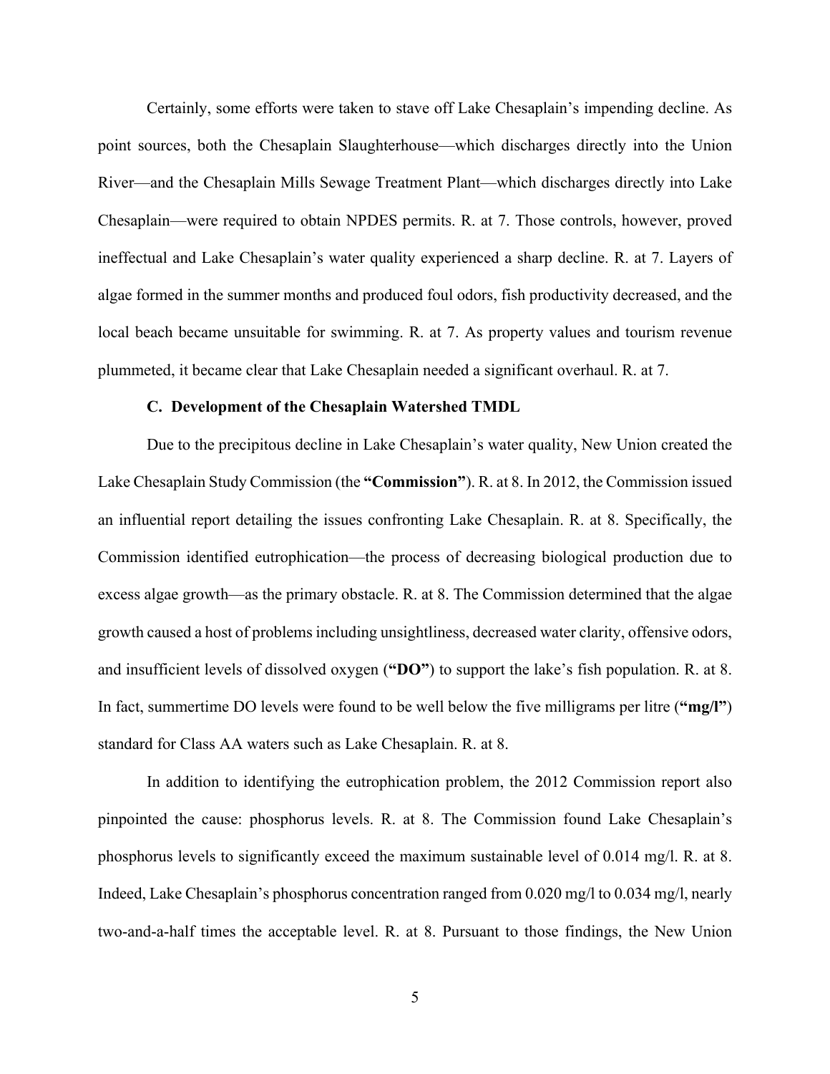Certainly, some efforts were taken to stave off Lake Chesaplain's impending decline. As point sources, both the Chesaplain Slaughterhouse—which discharges directly into the Union River—and the Chesaplain Mills Sewage Treatment Plant—which discharges directly into Lake Chesaplain—were required to obtain NPDES permits. R. at 7. Those controls, however, proved ineffectual and Lake Chesaplain's water quality experienced a sharp decline. R. at 7. Layers of algae formed in the summer months and produced foul odors, fish productivity decreased, and the local beach became unsuitable for swimming. R. at 7. As property values and tourism revenue plummeted, it became clear that Lake Chesaplain needed a significant overhaul. R. at 7.

#### **C. Development of the Chesaplain Watershed TMDL**

Due to the precipitous decline in Lake Chesaplain's water quality, New Union created the Lake Chesaplain Study Commission (the **"Commission"**). R. at 8. In 2012, the Commission issued an influential report detailing the issues confronting Lake Chesaplain. R. at 8. Specifically, the Commission identified eutrophication—the process of decreasing biological production due to excess algae growth—as the primary obstacle. R. at 8. The Commission determined that the algae growth caused a host of problems including unsightliness, decreased water clarity, offensive odors, and insufficient levels of dissolved oxygen (**"DO"**) to support the lake's fish population. R. at 8. In fact, summertime DO levels were found to be well below the five milligrams per litre (**"mg/l"**) standard for Class AA waters such as Lake Chesaplain. R. at 8.

In addition to identifying the eutrophication problem, the 2012 Commission report also pinpointed the cause: phosphorus levels. R. at 8. The Commission found Lake Chesaplain's phosphorus levels to significantly exceed the maximum sustainable level of 0.014 mg/l. R. at 8. Indeed, Lake Chesaplain's phosphorus concentration ranged from 0.020 mg/l to 0.034 mg/l, nearly two-and-a-half times the acceptable level. R. at 8. Pursuant to those findings, the New Union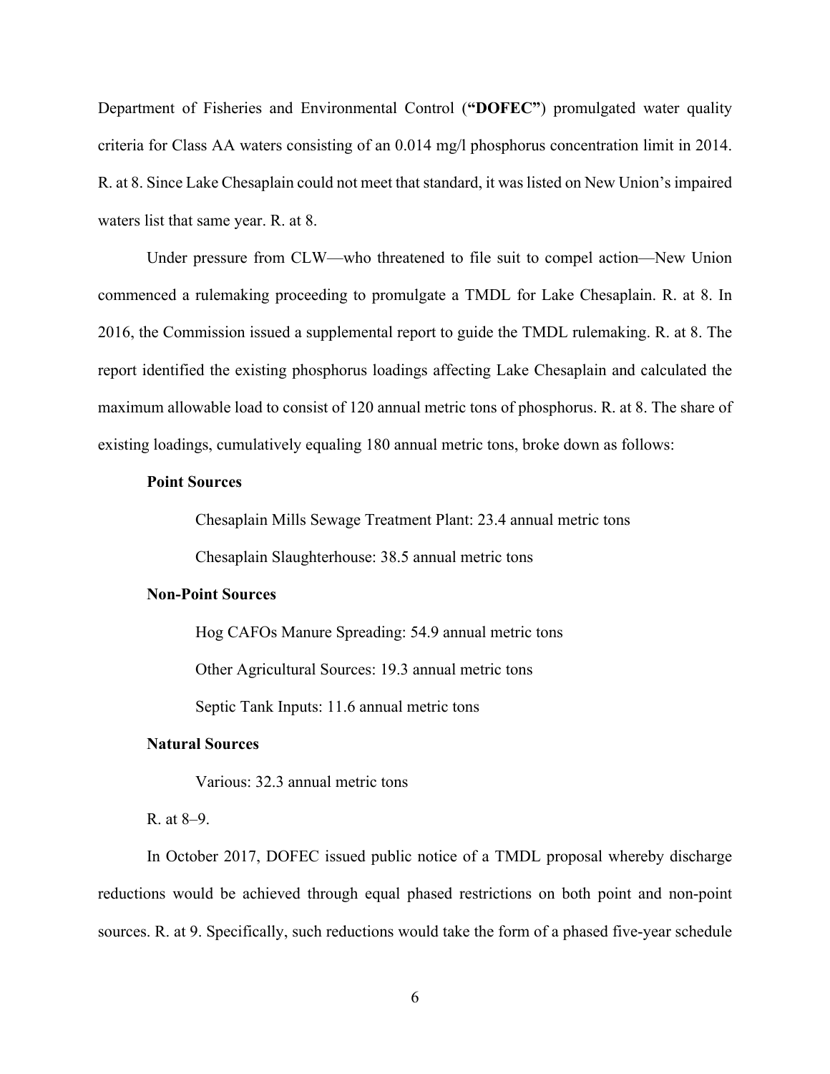Department of Fisheries and Environmental Control (**"DOFEC"**) promulgated water quality criteria for Class AA waters consisting of an 0.014 mg/l phosphorus concentration limit in 2014. R. at 8. Since Lake Chesaplain could not meet that standard, it was listed on New Union's impaired waters list that same year. R. at 8.

Under pressure from CLW—who threatened to file suit to compel action—New Union commenced a rulemaking proceeding to promulgate a TMDL for Lake Chesaplain. R. at 8. In 2016, the Commission issued a supplemental report to guide the TMDL rulemaking. R. at 8. The report identified the existing phosphorus loadings affecting Lake Chesaplain and calculated the maximum allowable load to consist of 120 annual metric tons of phosphorus. R. at 8. The share of existing loadings, cumulatively equaling 180 annual metric tons, broke down as follows:

#### **Point Sources**

Chesaplain Mills Sewage Treatment Plant: 23.4 annual metric tons

Chesaplain Slaughterhouse: 38.5 annual metric tons

#### **Non-Point Sources**

Hog CAFOs Manure Spreading: 54.9 annual metric tons Other Agricultural Sources: 19.3 annual metric tons Septic Tank Inputs: 11.6 annual metric tons

#### **Natural Sources**

Various: 32.3 annual metric tons

#### R. at 8–9.

In October 2017, DOFEC issued public notice of a TMDL proposal whereby discharge reductions would be achieved through equal phased restrictions on both point and non-point sources. R. at 9. Specifically, such reductions would take the form of a phased five-year schedule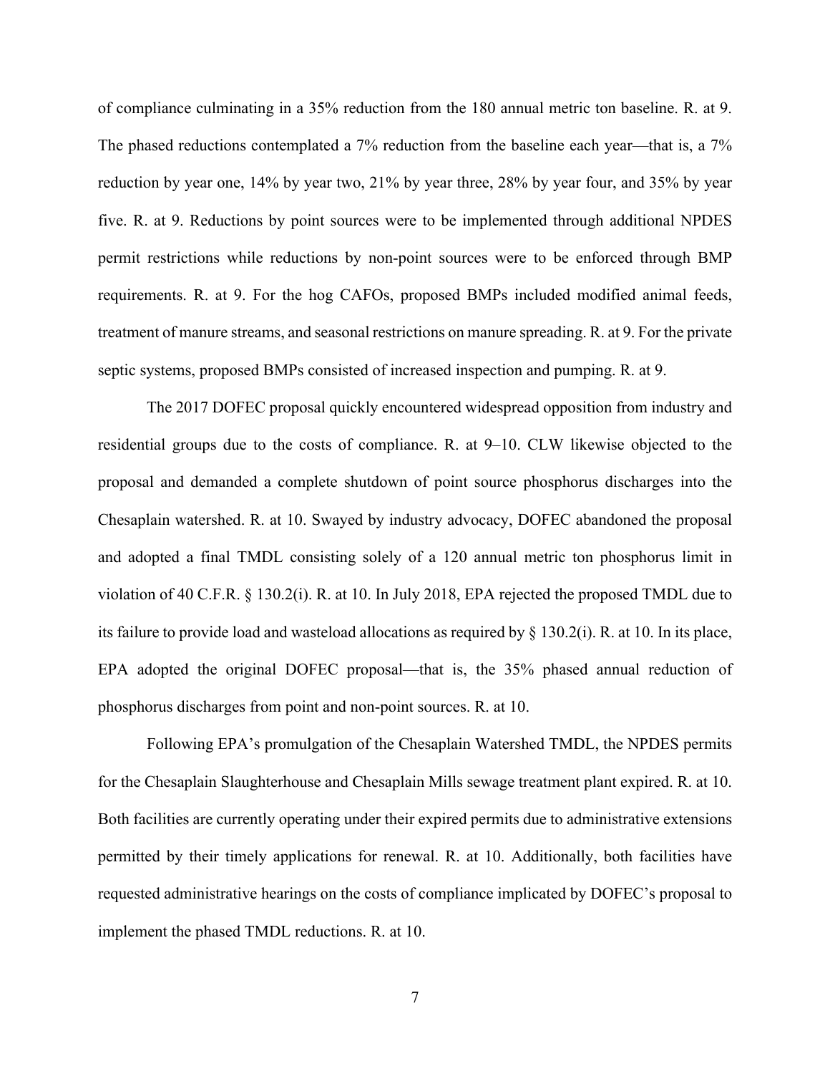of compliance culminating in a 35% reduction from the 180 annual metric ton baseline. R. at 9. The phased reductions contemplated a 7% reduction from the baseline each year—that is, a 7% reduction by year one, 14% by year two, 21% by year three, 28% by year four, and 35% by year five. R. at 9. Reductions by point sources were to be implemented through additional NPDES permit restrictions while reductions by non-point sources were to be enforced through BMP requirements. R. at 9. For the hog CAFOs, proposed BMPs included modified animal feeds, treatment of manure streams, and seasonal restrictions on manure spreading. R. at 9. For the private septic systems, proposed BMPs consisted of increased inspection and pumping. R. at 9.

The 2017 DOFEC proposal quickly encountered widespread opposition from industry and residential groups due to the costs of compliance. R. at 9–10. CLW likewise objected to the proposal and demanded a complete shutdown of point source phosphorus discharges into the Chesaplain watershed. R. at 10. Swayed by industry advocacy, DOFEC abandoned the proposal and adopted a final TMDL consisting solely of a 120 annual metric ton phosphorus limit in violation of 40 C.F.R. § 130.2(i). R. at 10. In July 2018, EPA rejected the proposed TMDL due to its failure to provide load and wasteload allocations as required by  $\S$  130.2(i). R. at 10. In its place, EPA adopted the original DOFEC proposal—that is, the 35% phased annual reduction of phosphorus discharges from point and non-point sources. R. at 10.

Following EPA's promulgation of the Chesaplain Watershed TMDL, the NPDES permits for the Chesaplain Slaughterhouse and Chesaplain Mills sewage treatment plant expired. R. at 10. Both facilities are currently operating under their expired permits due to administrative extensions permitted by their timely applications for renewal. R. at 10. Additionally, both facilities have requested administrative hearings on the costs of compliance implicated by DOFEC's proposal to implement the phased TMDL reductions. R. at 10.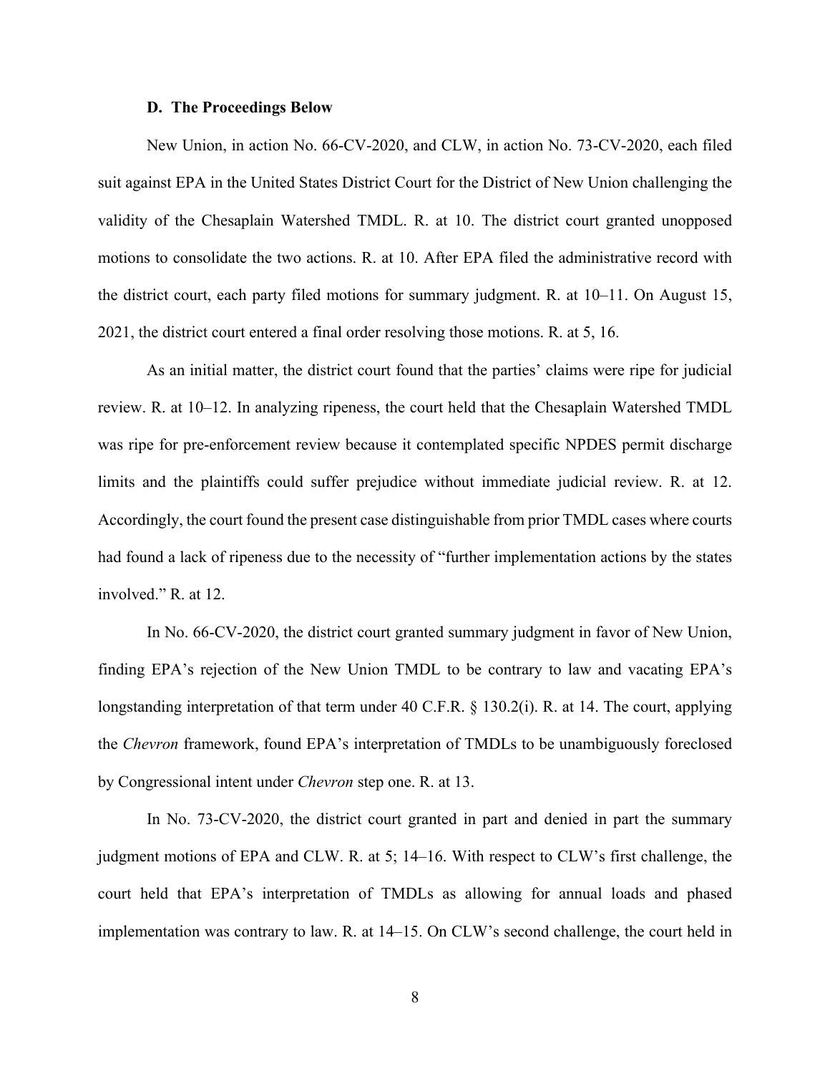#### **D. The Proceedings Below**

New Union, in action No. 66-CV-2020, and CLW, in action No. 73-CV-2020, each filed suit against EPA in the United States District Court for the District of New Union challenging the validity of the Chesaplain Watershed TMDL. R. at 10. The district court granted unopposed motions to consolidate the two actions. R. at 10. After EPA filed the administrative record with the district court, each party filed motions for summary judgment. R. at 10–11. On August 15, 2021, the district court entered a final order resolving those motions. R. at 5, 16.

As an initial matter, the district court found that the parties' claims were ripe for judicial review. R. at 10–12. In analyzing ripeness, the court held that the Chesaplain Watershed TMDL was ripe for pre-enforcement review because it contemplated specific NPDES permit discharge limits and the plaintiffs could suffer prejudice without immediate judicial review. R. at 12. Accordingly, the court found the present case distinguishable from prior TMDL cases where courts had found a lack of ripeness due to the necessity of "further implementation actions by the states involved." R. at 12.

In No. 66-CV-2020, the district court granted summary judgment in favor of New Union, finding EPA's rejection of the New Union TMDL to be contrary to law and vacating EPA's longstanding interpretation of that term under 40 C.F.R. § 130.2(i). R. at 14. The court, applying the *Chevron* framework, found EPA's interpretation of TMDLs to be unambiguously foreclosed by Congressional intent under *Chevron* step one. R. at 13.

In No. 73-CV-2020, the district court granted in part and denied in part the summary judgment motions of EPA and CLW. R. at 5; 14–16. With respect to CLW's first challenge, the court held that EPA's interpretation of TMDLs as allowing for annual loads and phased implementation was contrary to law. R. at 14–15. On CLW's second challenge, the court held in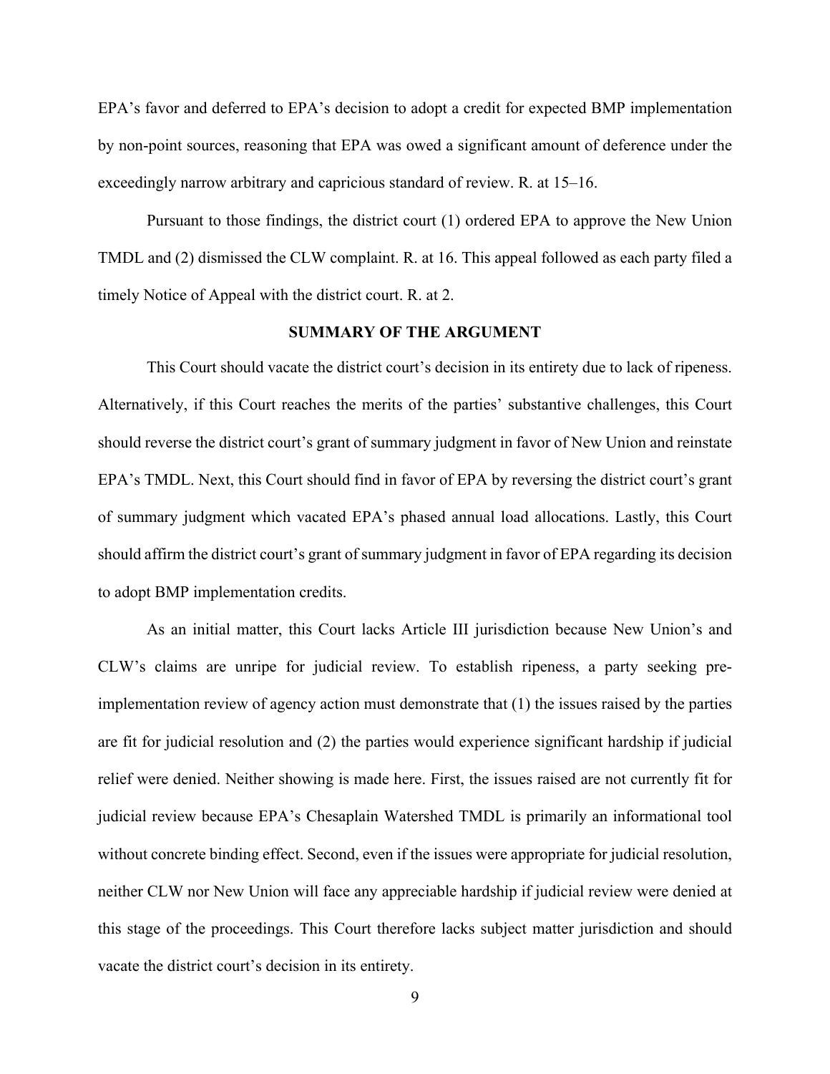EPA's favor and deferred to EPA's decision to adopt a credit for expected BMP implementation by non-point sources, reasoning that EPA was owed a significant amount of deference under the exceedingly narrow arbitrary and capricious standard of review. R. at 15–16.

Pursuant to those findings, the district court (1) ordered EPA to approve the New Union TMDL and (2) dismissed the CLW complaint. R. at 16. This appeal followed as each party filed a timely Notice of Appeal with the district court. R. at 2.

#### **SUMMARY OF THE ARGUMENT**

This Court should vacate the district court's decision in its entirety due to lack of ripeness. Alternatively, if this Court reaches the merits of the parties' substantive challenges, this Court should reverse the district court's grant of summary judgment in favor of New Union and reinstate EPA's TMDL. Next, this Court should find in favor of EPA by reversing the district court's grant of summary judgment which vacated EPA's phased annual load allocations. Lastly, this Court should affirm the district court's grant of summary judgment in favor of EPA regarding its decision to adopt BMP implementation credits.

As an initial matter, this Court lacks Article III jurisdiction because New Union's and CLW's claims are unripe for judicial review. To establish ripeness, a party seeking preimplementation review of agency action must demonstrate that (1) the issues raised by the parties are fit for judicial resolution and (2) the parties would experience significant hardship if judicial relief were denied. Neither showing is made here. First, the issues raised are not currently fit for judicial review because EPA's Chesaplain Watershed TMDL is primarily an informational tool without concrete binding effect. Second, even if the issues were appropriate for judicial resolution, neither CLW nor New Union will face any appreciable hardship if judicial review were denied at this stage of the proceedings. This Court therefore lacks subject matter jurisdiction and should vacate the district court's decision in its entirety.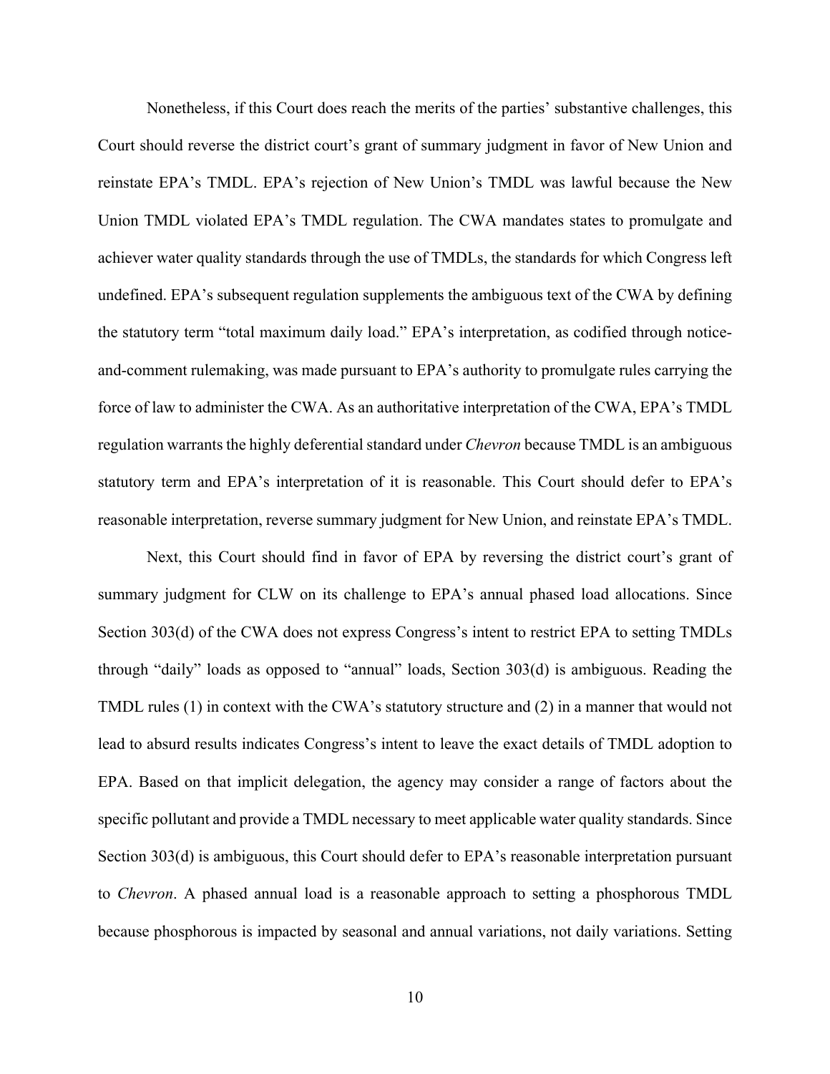Nonetheless, if this Court does reach the merits of the parties' substantive challenges, this Court should reverse the district court's grant of summary judgment in favor of New Union and reinstate EPA's TMDL. EPA's rejection of New Union's TMDL was lawful because the New Union TMDL violated EPA's TMDL regulation. The CWA mandates states to promulgate and achiever water quality standards through the use of TMDLs, the standards for which Congress left undefined. EPA's subsequent regulation supplements the ambiguous text of the CWA by defining the statutory term "total maximum daily load." EPA's interpretation, as codified through noticeand-comment rulemaking, was made pursuant to EPA's authority to promulgate rules carrying the force of law to administer the CWA. As an authoritative interpretation of the CWA, EPA's TMDL regulation warrants the highly deferential standard under *Chevron* because TMDL is an ambiguous statutory term and EPA's interpretation of it is reasonable. This Court should defer to EPA's reasonable interpretation, reverse summary judgment for New Union, and reinstate EPA's TMDL.

Next, this Court should find in favor of EPA by reversing the district court's grant of summary judgment for CLW on its challenge to EPA's annual phased load allocations. Since Section 303(d) of the CWA does not express Congress's intent to restrict EPA to setting TMDLs through "daily" loads as opposed to "annual" loads, Section 303(d) is ambiguous. Reading the TMDL rules (1) in context with the CWA's statutory structure and (2) in a manner that would not lead to absurd results indicates Congress's intent to leave the exact details of TMDL adoption to EPA. Based on that implicit delegation, the agency may consider a range of factors about the specific pollutant and provide a TMDL necessary to meet applicable water quality standards. Since Section 303(d) is ambiguous, this Court should defer to EPA's reasonable interpretation pursuant to *Chevron*. A phased annual load is a reasonable approach to setting a phosphorous TMDL because phosphorous is impacted by seasonal and annual variations, not daily variations. Setting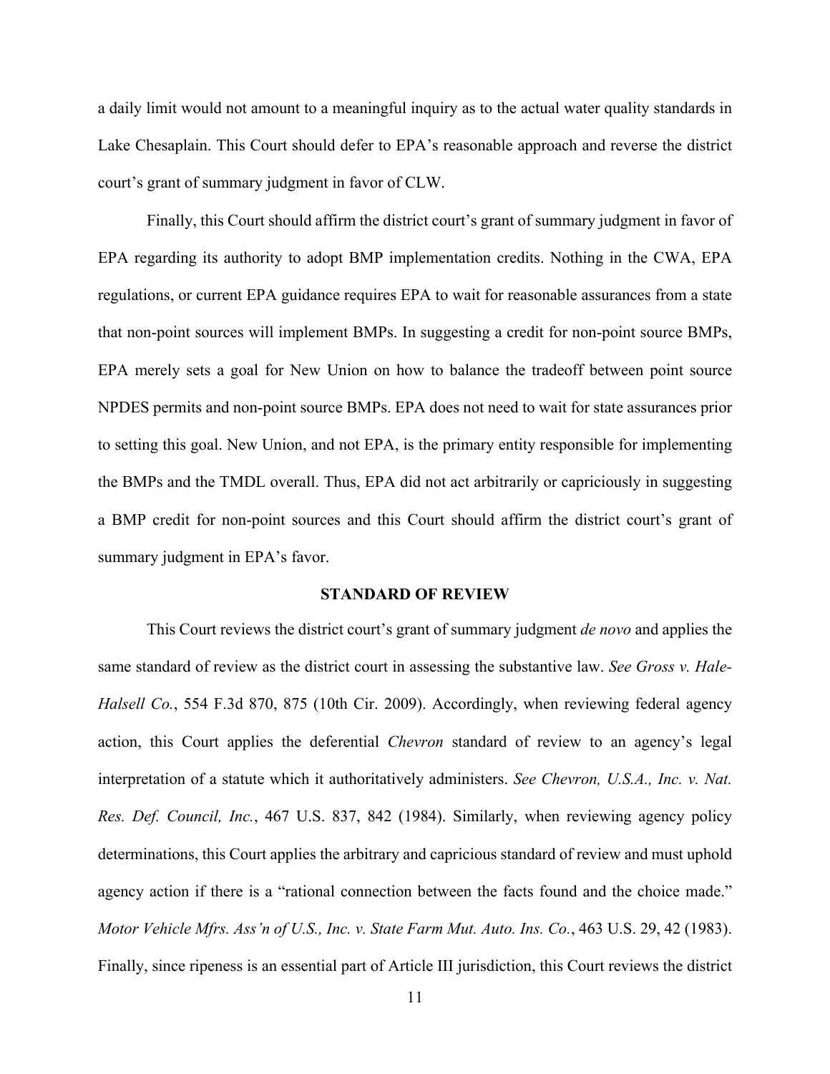a daily limit would not amount to a meaningful inquiry as to the actual water quality standards in Lake Chesaplain. This Court should defer to EPA's reasonable approach and reverse the district court's grant of summary judgment in favor of CLW.

Finally, this Court should affirm the district court's grant of summary judgment in favor of EPA regarding its authority to adopt BMP implementation credits. Nothing in the CWA, EPA regulations, or current EPA guidance requires EPA to wait for reasonable assurances from a state that non-point sources will implement BMPs. In suggesting a credit for non-point source BMPs, EPA merely sets a goal for New Union on how to balance the tradeoff between point source NPDES permits and non-point source BMPs. EPA does not need to wait for state assurances prior to setting this goal. New Union, and not EPA, is the primary entity responsible for implementing the BMPs and the TMDL overall. Thus, EPA did not act arbitrarily or capriciously in suggesting a BMP credit for non-point sources and this Court should affirm the district court's grant of summary judgment in EPA's favor.

#### **STANDARD OF REVIEW**

This Court reviews the district court's grant of summary judgment *de novo* and applies the same standard of review as the district court in assessing the substantive law. *See Gross v. Hale-Halsell Co.*, 554 F.3d 870, 875 (10th Cir. 2009). Accordingly, when reviewing federal agency action, this Court applies the deferential *Chevron* standard of review to an agency's legal interpretation of a statute which it authoritatively administers. *See Chevron, U.S.A., Inc. v. Nat. Res. Def. Council, Inc.*, 467 U.S. 837, 842 (1984). Similarly, when reviewing agency policy determinations, this Court applies the arbitrary and capricious standard of review and must uphold agency action if there is a "rational connection between the facts found and the choice made." *Motor Vehicle Mfrs. Ass'n of U.S., Inc. v. State Farm Mut. Auto. Ins. Co.*, 463 U.S. 29, 42 (1983). Finally, since ripeness is an essential part of Article III jurisdiction, this Court reviews the district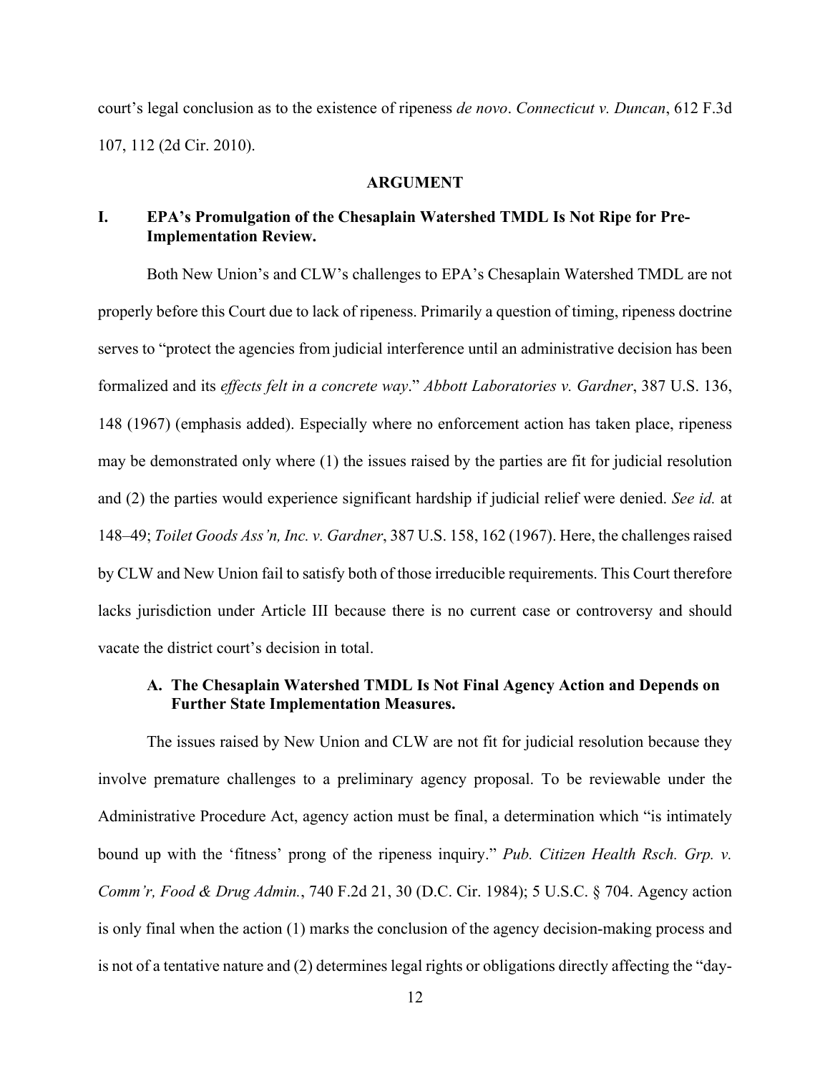court's legal conclusion as to the existence of ripeness *de novo*. *Connecticut v. Duncan*, 612 F.3d 107, 112 (2d Cir. 2010).

#### **ARGUMENT**

# **I. EPA's Promulgation of the Chesaplain Watershed TMDL Is Not Ripe for Pre-Implementation Review.**

Both New Union's and CLW's challenges to EPA's Chesaplain Watershed TMDL are not properly before this Court due to lack of ripeness. Primarily a question of timing, ripeness doctrine serves to "protect the agencies from judicial interference until an administrative decision has been formalized and its *effects felt in a concrete way*." *Abbott Laboratories v. Gardner*, 387 U.S. 136, 148 (1967) (emphasis added). Especially where no enforcement action has taken place, ripeness may be demonstrated only where (1) the issues raised by the parties are fit for judicial resolution and (2) the parties would experience significant hardship if judicial relief were denied. *See id.* at 148–49; *Toilet Goods Ass'n, Inc. v. Gardner*, 387 U.S. 158, 162 (1967). Here, the challenges raised by CLW and New Union fail to satisfy both of those irreducible requirements. This Court therefore lacks jurisdiction under Article III because there is no current case or controversy and should vacate the district court's decision in total.

## **A. The Chesaplain Watershed TMDL Is Not Final Agency Action and Depends on Further State Implementation Measures.**

The issues raised by New Union and CLW are not fit for judicial resolution because they involve premature challenges to a preliminary agency proposal. To be reviewable under the Administrative Procedure Act, agency action must be final, a determination which "is intimately bound up with the 'fitness' prong of the ripeness inquiry." *Pub. Citizen Health Rsch. Grp. v. Comm'r, Food & Drug Admin.*, 740 F.2d 21, 30 (D.C. Cir. 1984); 5 U.S.C. § 704. Agency action is only final when the action (1) marks the conclusion of the agency decision-making process and is not of a tentative nature and (2) determines legal rights or obligations directly affecting the "day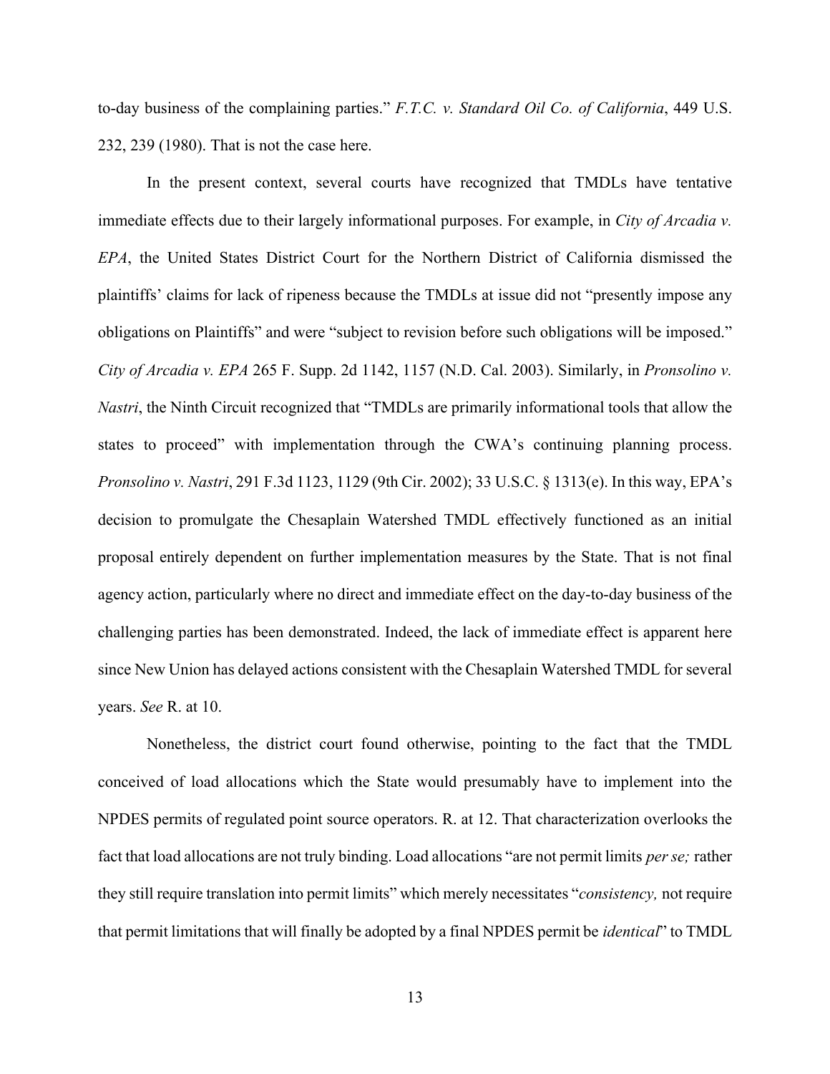to-day business of the complaining parties." *F.T.C. v. Standard Oil Co. of California*, 449 U.S. 232, 239 (1980). That is not the case here.

In the present context, several courts have recognized that TMDLs have tentative immediate effects due to their largely informational purposes. For example, in *City of Arcadia v. EPA*, the United States District Court for the Northern District of California dismissed the plaintiffs' claims for lack of ripeness because the TMDLs at issue did not "presently impose any obligations on Plaintiffs" and were "subject to revision before such obligations will be imposed." *City of Arcadia v. EPA* 265 F. Supp. 2d 1142, 1157 (N.D. Cal. 2003). Similarly, in *Pronsolino v. Nastri*, the Ninth Circuit recognized that "TMDLs are primarily informational tools that allow the states to proceed" with implementation through the CWA's continuing planning process. *Pronsolino v. Nastri*, 291 F.3d 1123, 1129 (9th Cir. 2002); 33 U.S.C. § 1313(e). In this way, EPA's decision to promulgate the Chesaplain Watershed TMDL effectively functioned as an initial proposal entirely dependent on further implementation measures by the State. That is not final agency action, particularly where no direct and immediate effect on the day-to-day business of the challenging parties has been demonstrated. Indeed, the lack of immediate effect is apparent here since New Union has delayed actions consistent with the Chesaplain Watershed TMDL for several years. *See* R. at 10.

Nonetheless, the district court found otherwise, pointing to the fact that the TMDL conceived of load allocations which the State would presumably have to implement into the NPDES permits of regulated point source operators. R. at 12. That characterization overlooks the fact that load allocations are not truly binding. Load allocations "are not permit limits *perse;* rather they still require translation into permit limits" which merely necessitates "*consistency,* not require that permit limitations that will finally be adopted by a final NPDES permit be *identical*" to TMDL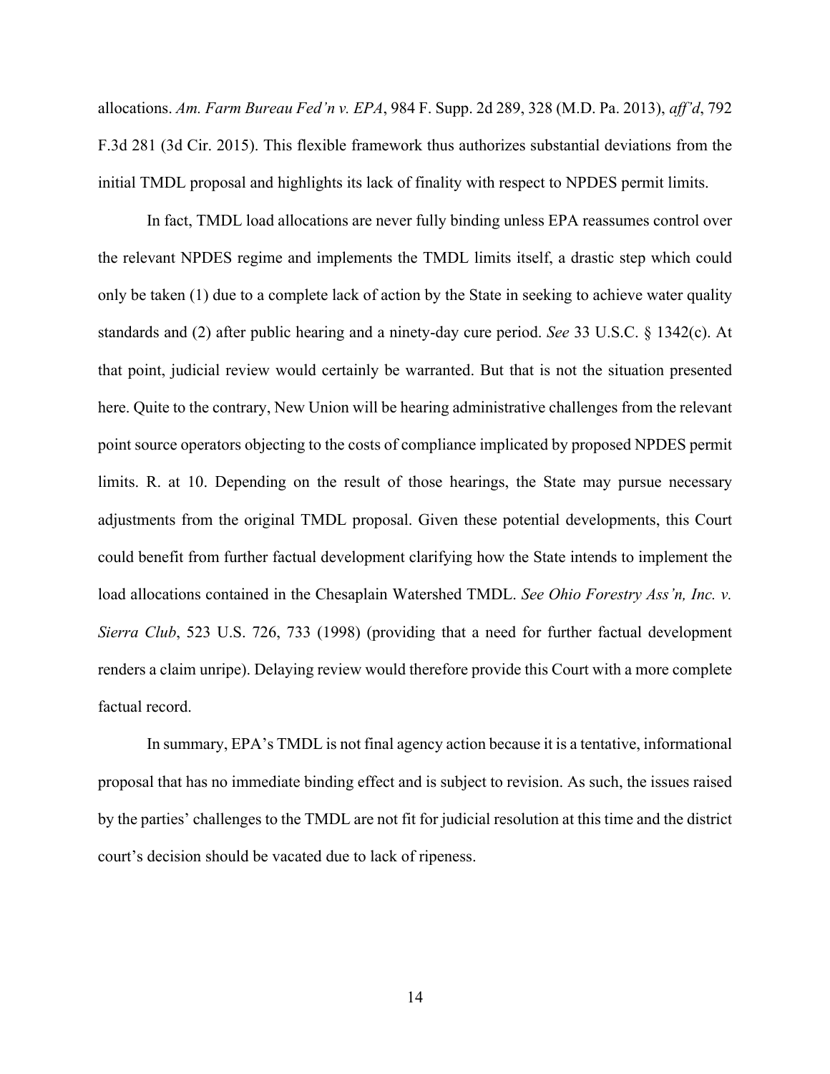allocations. *Am. Farm Bureau Fed'n v. EPA*, 984 F. Supp. 2d 289, 328 (M.D. Pa. 2013), *aff'd*, 792 F.3d 281 (3d Cir. 2015). This flexible framework thus authorizes substantial deviations from the initial TMDL proposal and highlights its lack of finality with respect to NPDES permit limits.

In fact, TMDL load allocations are never fully binding unless EPA reassumes control over the relevant NPDES regime and implements the TMDL limits itself, a drastic step which could only be taken (1) due to a complete lack of action by the State in seeking to achieve water quality standards and (2) after public hearing and a ninety-day cure period. *See* 33 U.S.C. § 1342(c). At that point, judicial review would certainly be warranted. But that is not the situation presented here. Quite to the contrary, New Union will be hearing administrative challenges from the relevant point source operators objecting to the costs of compliance implicated by proposed NPDES permit limits. R. at 10. Depending on the result of those hearings, the State may pursue necessary adjustments from the original TMDL proposal. Given these potential developments, this Court could benefit from further factual development clarifying how the State intends to implement the load allocations contained in the Chesaplain Watershed TMDL. *See Ohio Forestry Ass'n, Inc. v. Sierra Club*, 523 U.S. 726, 733 (1998) (providing that a need for further factual development renders a claim unripe). Delaying review would therefore provide this Court with a more complete factual record.

In summary, EPA's TMDL is not final agency action because it is a tentative, informational proposal that has no immediate binding effect and is subject to revision. As such, the issues raised by the parties' challenges to the TMDL are not fit for judicial resolution at this time and the district court's decision should be vacated due to lack of ripeness.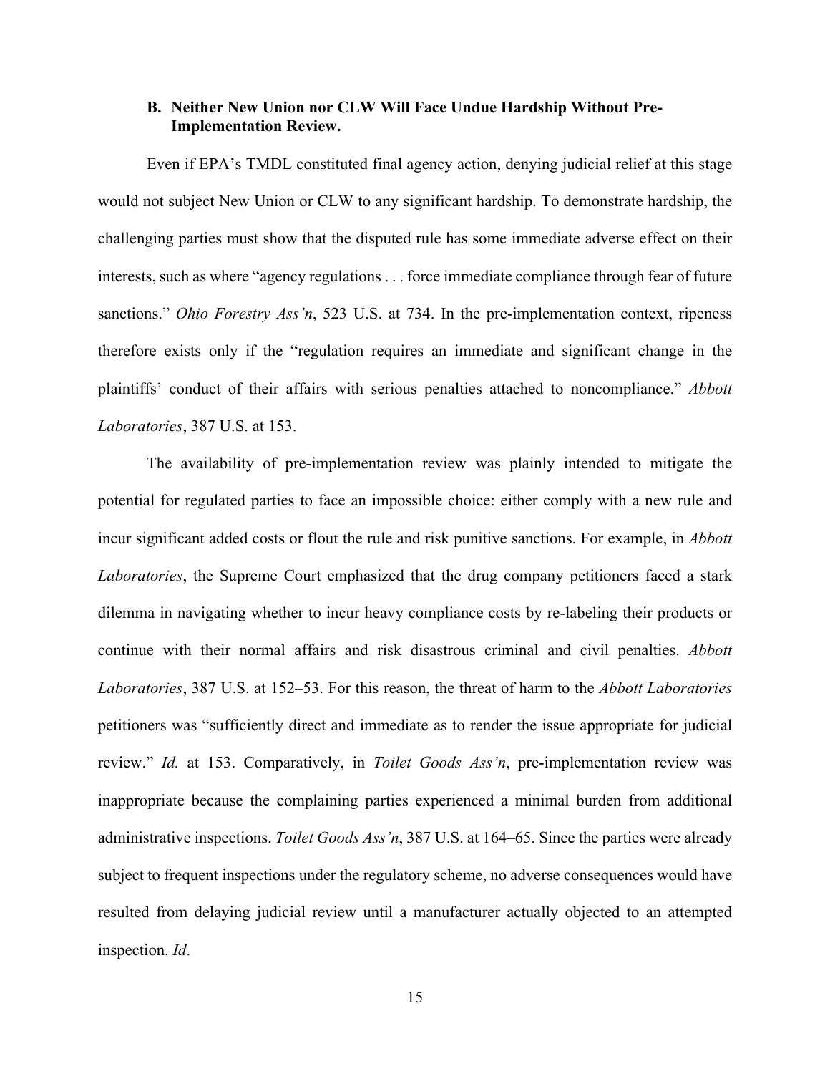### **B. Neither New Union nor CLW Will Face Undue Hardship Without Pre-Implementation Review.**

Even if EPA's TMDL constituted final agency action, denying judicial relief at this stage would not subject New Union or CLW to any significant hardship. To demonstrate hardship, the challenging parties must show that the disputed rule has some immediate adverse effect on their interests, such as where "agency regulations . . . force immediate compliance through fear of future sanctions." *Ohio Forestry Ass'n*, 523 U.S. at 734. In the pre-implementation context, ripeness therefore exists only if the "regulation requires an immediate and significant change in the plaintiffs' conduct of their affairs with serious penalties attached to noncompliance." *Abbott Laboratories*, 387 U.S. at 153.

The availability of pre-implementation review was plainly intended to mitigate the potential for regulated parties to face an impossible choice: either comply with a new rule and incur significant added costs or flout the rule and risk punitive sanctions. For example, in *Abbott Laboratories*, the Supreme Court emphasized that the drug company petitioners faced a stark dilemma in navigating whether to incur heavy compliance costs by re-labeling their products or continue with their normal affairs and risk disastrous criminal and civil penalties. *Abbott Laboratories*, 387 U.S. at 152–53. For this reason, the threat of harm to the *Abbott Laboratories* petitioners was "sufficiently direct and immediate as to render the issue appropriate for judicial review." *Id.* at 153. Comparatively, in *Toilet Goods Ass'n*, pre-implementation review was inappropriate because the complaining parties experienced a minimal burden from additional administrative inspections. *Toilet Goods Ass'n*, 387 U.S. at 164–65. Since the parties were already subject to frequent inspections under the regulatory scheme, no adverse consequences would have resulted from delaying judicial review until a manufacturer actually objected to an attempted inspection. *Id*.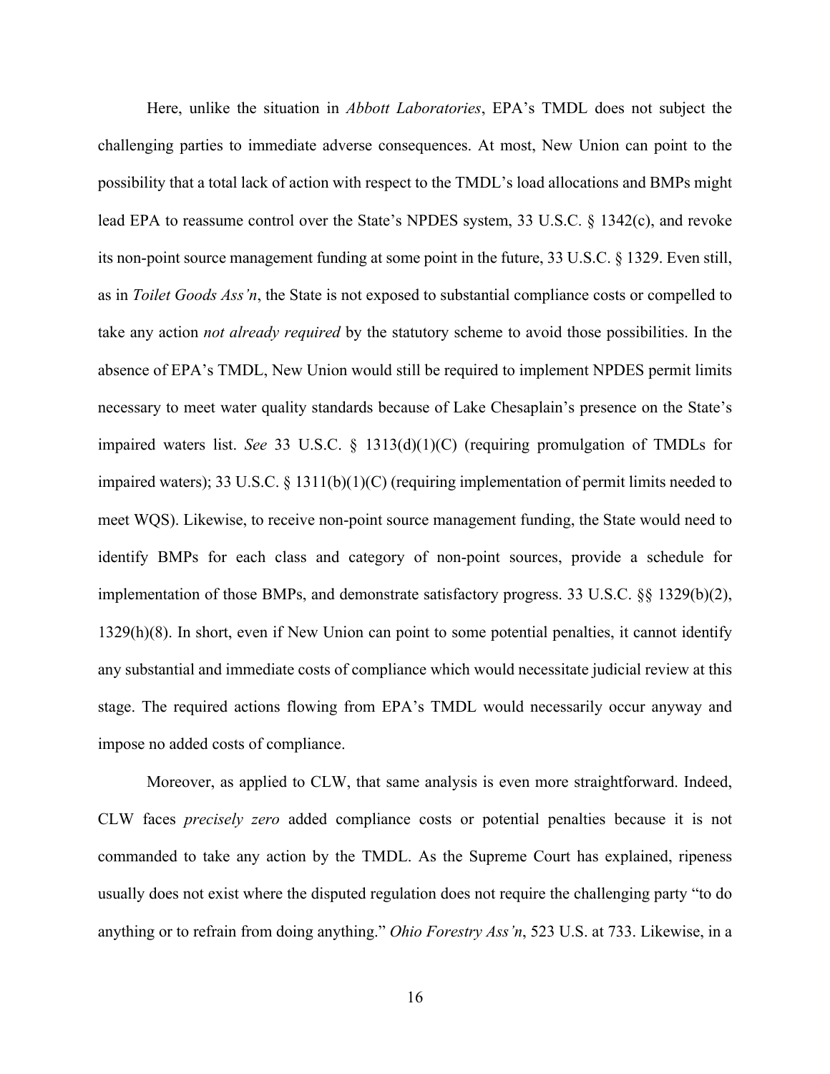Here, unlike the situation in *Abbott Laboratories*, EPA's TMDL does not subject the challenging parties to immediate adverse consequences. At most, New Union can point to the possibility that a total lack of action with respect to the TMDL's load allocations and BMPs might lead EPA to reassume control over the State's NPDES system, 33 U.S.C. § 1342(c), and revoke its non-point source management funding at some point in the future, 33 U.S.C. § 1329. Even still, as in *Toilet Goods Ass'n*, the State is not exposed to substantial compliance costs or compelled to take any action *not already required* by the statutory scheme to avoid those possibilities. In the absence of EPA's TMDL, New Union would still be required to implement NPDES permit limits necessary to meet water quality standards because of Lake Chesaplain's presence on the State's impaired waters list. *See* 33 U.S.C. § 1313(d)(1)(C) (requiring promulgation of TMDLs for impaired waters); 33 U.S.C. § 1311(b)(1)(C) (requiring implementation of permit limits needed to meet WQS). Likewise, to receive non-point source management funding, the State would need to identify BMPs for each class and category of non-point sources, provide a schedule for implementation of those BMPs, and demonstrate satisfactory progress. 33 U.S.C. §§ 1329(b)(2), 1329(h)(8). In short, even if New Union can point to some potential penalties, it cannot identify any substantial and immediate costs of compliance which would necessitate judicial review at this stage. The required actions flowing from EPA's TMDL would necessarily occur anyway and impose no added costs of compliance.

Moreover, as applied to CLW, that same analysis is even more straightforward. Indeed, CLW faces *precisely zero* added compliance costs or potential penalties because it is not commanded to take any action by the TMDL. As the Supreme Court has explained, ripeness usually does not exist where the disputed regulation does not require the challenging party "to do anything or to refrain from doing anything." *Ohio Forestry Ass'n*, 523 U.S. at 733. Likewise, in a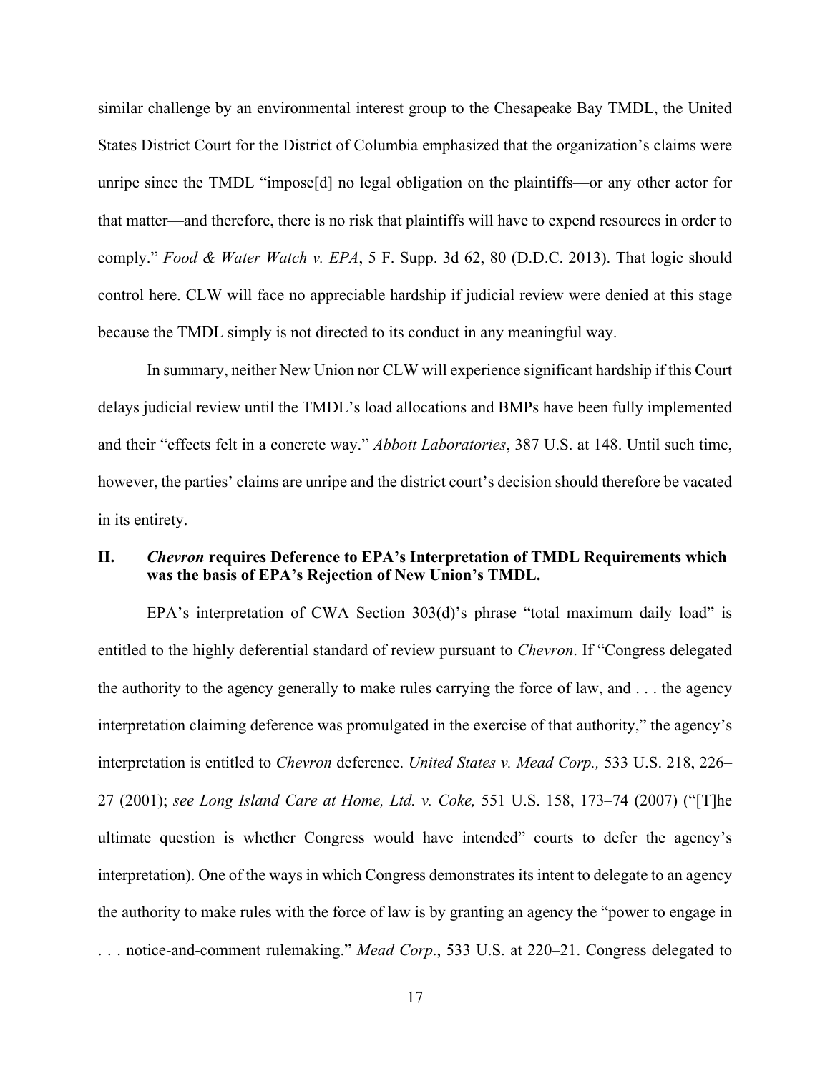similar challenge by an environmental interest group to the Chesapeake Bay TMDL, the United States District Court for the District of Columbia emphasized that the organization's claims were unripe since the TMDL "impose[d] no legal obligation on the plaintiffs—or any other actor for that matter—and therefore, there is no risk that plaintiffs will have to expend resources in order to comply." *Food & Water Watch v. EPA*, 5 F. Supp. 3d 62, 80 (D.D.C. 2013). That logic should control here. CLW will face no appreciable hardship if judicial review were denied at this stage because the TMDL simply is not directed to its conduct in any meaningful way.

In summary, neither New Union nor CLW will experience significant hardship if this Court delays judicial review until the TMDL's load allocations and BMPs have been fully implemented and their "effects felt in a concrete way." *Abbott Laboratories*, 387 U.S. at 148. Until such time, however, the parties' claims are unripe and the district court's decision should therefore be vacated in its entirety.

#### **II.** *Chevron* **requires Deference to EPA's Interpretation of TMDL Requirements which was the basis of EPA's Rejection of New Union's TMDL.**

EPA's interpretation of CWA Section 303(d)'s phrase "total maximum daily load" is entitled to the highly deferential standard of review pursuant to *Chevron*. If "Congress delegated the authority to the agency generally to make rules carrying the force of law, and . . . the agency interpretation claiming deference was promulgated in the exercise of that authority," the agency's interpretation is entitled to *Chevron* deference. *United States v. Mead Corp.,* 533 U.S. 218, 226– 27 (2001); *see Long Island Care at Home, Ltd. v. Coke,* 551 U.S. 158, 173–74 (2007) ("[T]he ultimate question is whether Congress would have intended" courts to defer the agency's interpretation). One of the ways in which Congress demonstrates its intent to delegate to an agency the authority to make rules with the force of law is by granting an agency the "power to engage in . . . notice-and-comment rulemaking." *Mead Corp*., 533 U.S. at 220–21. Congress delegated to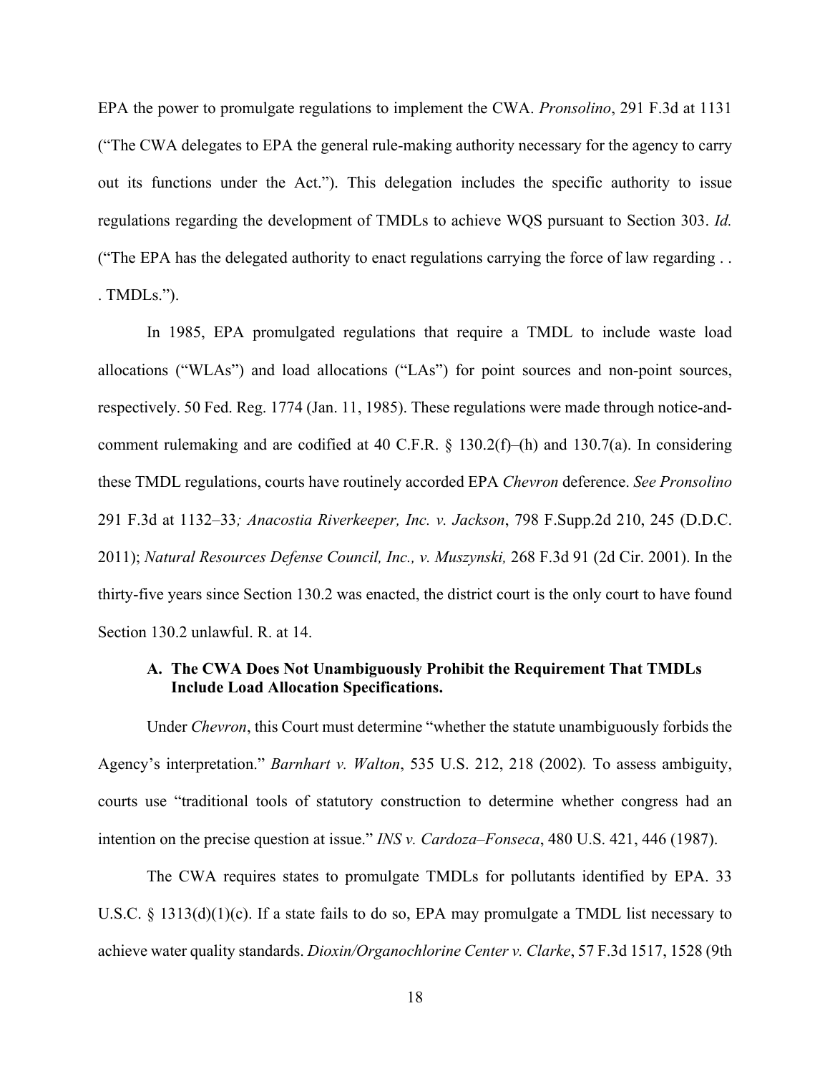EPA the power to promulgate regulations to implement the CWA. *Pronsolino*, 291 F.3d at 1131 ("The CWA delegates to EPA the general rule-making authority necessary for the agency to carry out its functions under the Act."). This delegation includes the specific authority to issue regulations regarding the development of TMDLs to achieve WQS pursuant to Section 303. *Id.*  ("The EPA has the delegated authority to enact regulations carrying the force of law regarding . . . TMDLs.").

In 1985, EPA promulgated regulations that require a TMDL to include waste load allocations ("WLAs") and load allocations ("LAs") for point sources and non-point sources, respectively. 50 Fed. Reg. 1774 (Jan. 11, 1985). These regulations were made through notice-andcomment rulemaking and are codified at 40 C.F.R. § 130.2(f)–(h) and 130.7(a). In considering these TMDL regulations, courts have routinely accorded EPA *Chevron* deference. *See Pronsolino*  291 F.3d at 1132–33*; Anacostia Riverkeeper, Inc. v. Jackson*, 798 F.Supp.2d 210, 245 (D.D.C. 2011); *Natural Resources Defense Council, Inc., v. Muszynski,* 268 F.3d 91 (2d Cir. 2001). In the thirty-five years since Section 130.2 was enacted, the district court is the only court to have found Section 130.2 unlawful. R. at 14.

# **A. The CWA Does Not Unambiguously Prohibit the Requirement That TMDLs Include Load Allocation Specifications.**

Under *Chevron*, this Court must determine "whether the statute unambiguously forbids the Agency's interpretation." *Barnhart v. Walton*, 535 U.S. 212, 218 (2002)*.* To assess ambiguity, courts use "traditional tools of statutory construction to determine whether congress had an intention on the precise question at issue." *INS v. Cardoza–Fonseca*, 480 U.S. 421, 446 (1987).

The CWA requires states to promulgate TMDLs for pollutants identified by EPA. 33 U.S.C. § 1313(d)(1)(c). If a state fails to do so, EPA may promulgate a TMDL list necessary to achieve water quality standards. *Dioxin/Organochlorine Center v. Clarke*, 57 F.3d 1517, 1528 (9th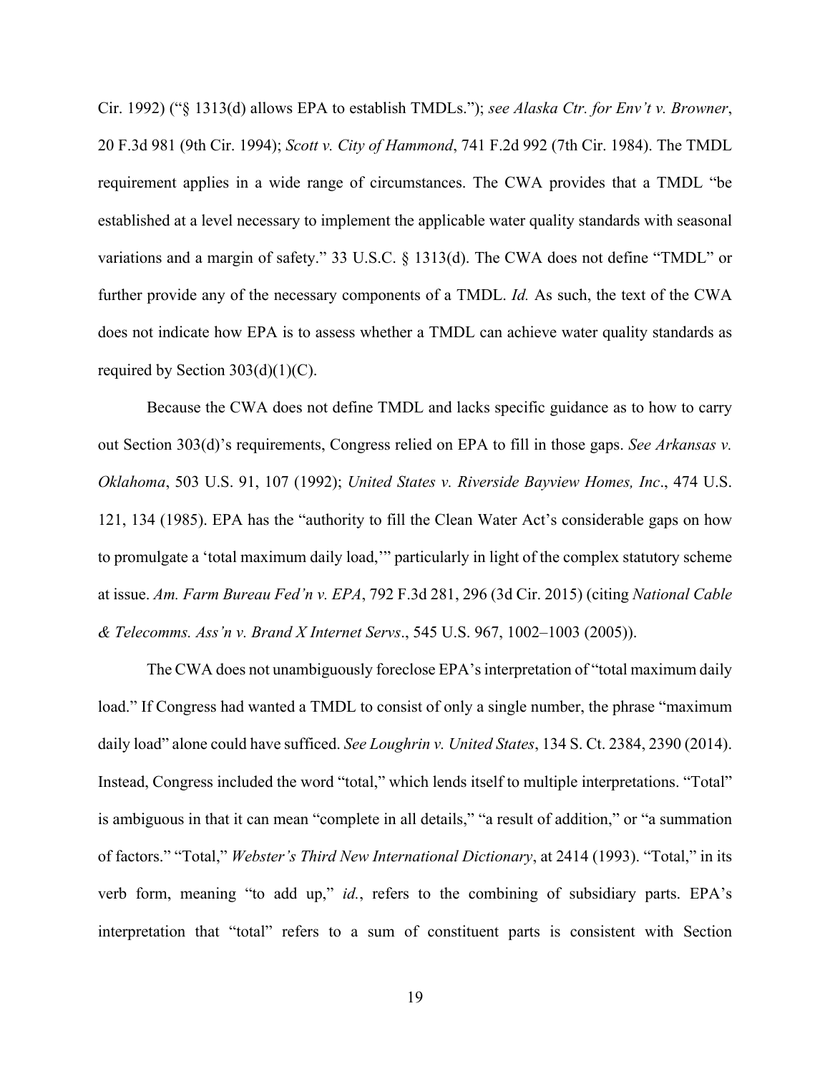Cir. 1992) ("§ 1313(d) allows EPA to establish TMDLs."); *see Alaska Ctr. for Env't v. Browner*, 20 F.3d 981 (9th Cir. 1994); *Scott v. City of Hammond*, 741 F.2d 992 (7th Cir. 1984). The TMDL requirement applies in a wide range of circumstances. The CWA provides that a TMDL "be established at a level necessary to implement the applicable water quality standards with seasonal variations and a margin of safety." 33 U.S.C. § 1313(d). The CWA does not define "TMDL" or further provide any of the necessary components of a TMDL. *Id.* As such, the text of the CWA does not indicate how EPA is to assess whether a TMDL can achieve water quality standards as required by Section  $303(d)(1)(C)$ .

Because the CWA does not define TMDL and lacks specific guidance as to how to carry out Section 303(d)'s requirements, Congress relied on EPA to fill in those gaps. *See Arkansas v. Oklahoma*, 503 U.S. 91, 107 (1992); *United States v. Riverside Bayview Homes, Inc*., 474 U.S. 121, 134 (1985). EPA has the "authority to fill the Clean Water Act's considerable gaps on how to promulgate a 'total maximum daily load,'" particularly in light of the complex statutory scheme at issue. *Am. Farm Bureau Fed'n v. EPA*, 792 F.3d 281, 296 (3d Cir. 2015) (citing *National Cable & Telecomms. Ass'n v. Brand X Internet Servs*., 545 U.S. 967, 1002–1003 (2005)).

The CWA does not unambiguously foreclose EPA's interpretation of "total maximum daily load." If Congress had wanted a TMDL to consist of only a single number, the phrase "maximum daily load" alone could have sufficed. *See Loughrin v. United States*, 134 S. Ct. 2384, 2390 (2014). Instead, Congress included the word "total," which lends itself to multiple interpretations. "Total" is ambiguous in that it can mean "complete in all details," "a result of addition," or "a summation of factors." "Total," *Webster's Third New International Dictionary*, at 2414 (1993). "Total," in its verb form, meaning "to add up," *id.*, refers to the combining of subsidiary parts. EPA's interpretation that "total" refers to a sum of constituent parts is consistent with Section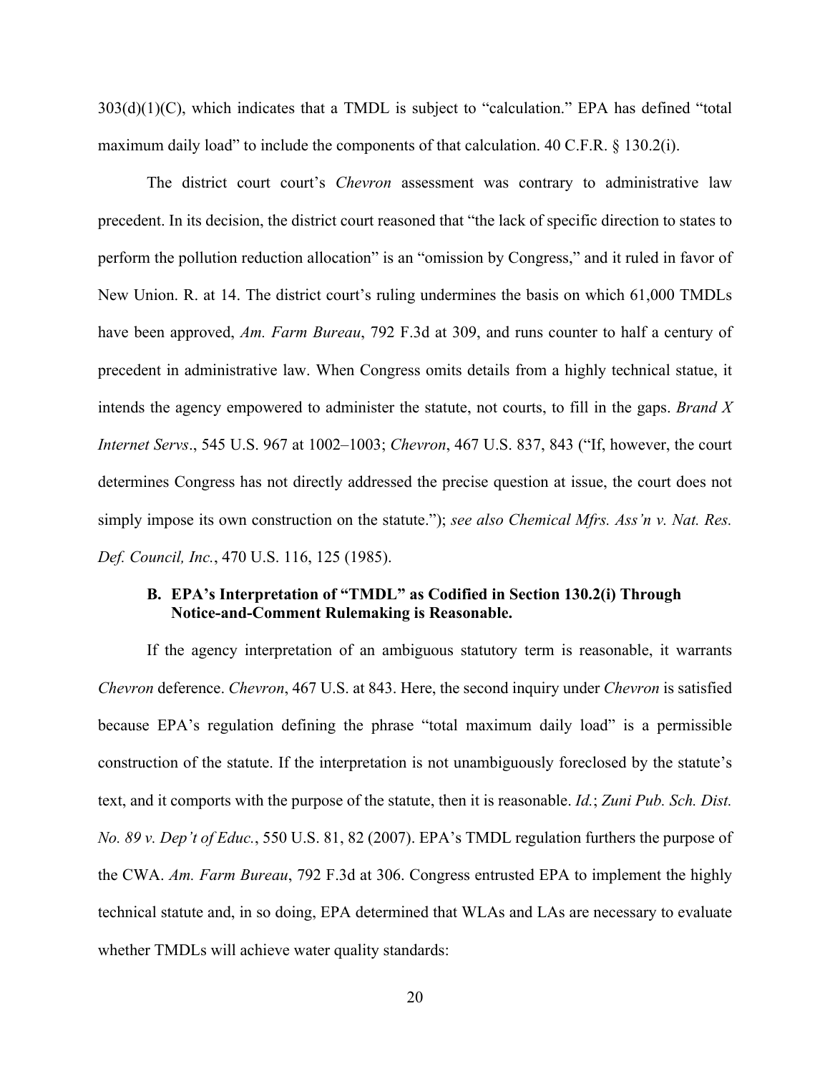303(d)(1)(C), which indicates that a TMDL is subject to "calculation." EPA has defined "total maximum daily load" to include the components of that calculation. 40 C.F.R. § 130.2(i).

The district court court's *Chevron* assessment was contrary to administrative law precedent. In its decision, the district court reasoned that "the lack of specific direction to states to perform the pollution reduction allocation" is an "omission by Congress," and it ruled in favor of New Union. R. at 14. The district court's ruling undermines the basis on which 61,000 TMDLs have been approved, *Am. Farm Bureau*, 792 F.3d at 309, and runs counter to half a century of precedent in administrative law. When Congress omits details from a highly technical statue, it intends the agency empowered to administer the statute, not courts, to fill in the gaps. *Brand X Internet Servs*., 545 U.S. 967 at 1002–1003; *Chevron*, 467 U.S. 837, 843 ("If, however, the court determines Congress has not directly addressed the precise question at issue, the court does not simply impose its own construction on the statute."); *see also Chemical Mfrs. Ass'n v. Nat. Res. Def. Council, Inc.*, 470 U.S. 116, 125 (1985).

# **B. EPA's Interpretation of "TMDL" as Codified in Section 130.2(i) Through Notice-and-Comment Rulemaking is Reasonable.**

If the agency interpretation of an ambiguous statutory term is reasonable, it warrants *Chevron* deference. *Chevron*, 467 U.S. at 843. Here, the second inquiry under *Chevron* is satisfied because EPA's regulation defining the phrase "total maximum daily load" is a permissible construction of the statute. If the interpretation is not unambiguously foreclosed by the statute's text, and it comports with the purpose of the statute, then it is reasonable. *Id.*; *Zuni Pub. Sch. Dist. No. 89 v. Dep't of Educ.*, 550 U.S. 81, 82 (2007). EPA's TMDL regulation furthers the purpose of the CWA. *Am. Farm Bureau*, 792 F.3d at 306. Congress entrusted EPA to implement the highly technical statute and, in so doing, EPA determined that WLAs and LAs are necessary to evaluate whether TMDLs will achieve water quality standards: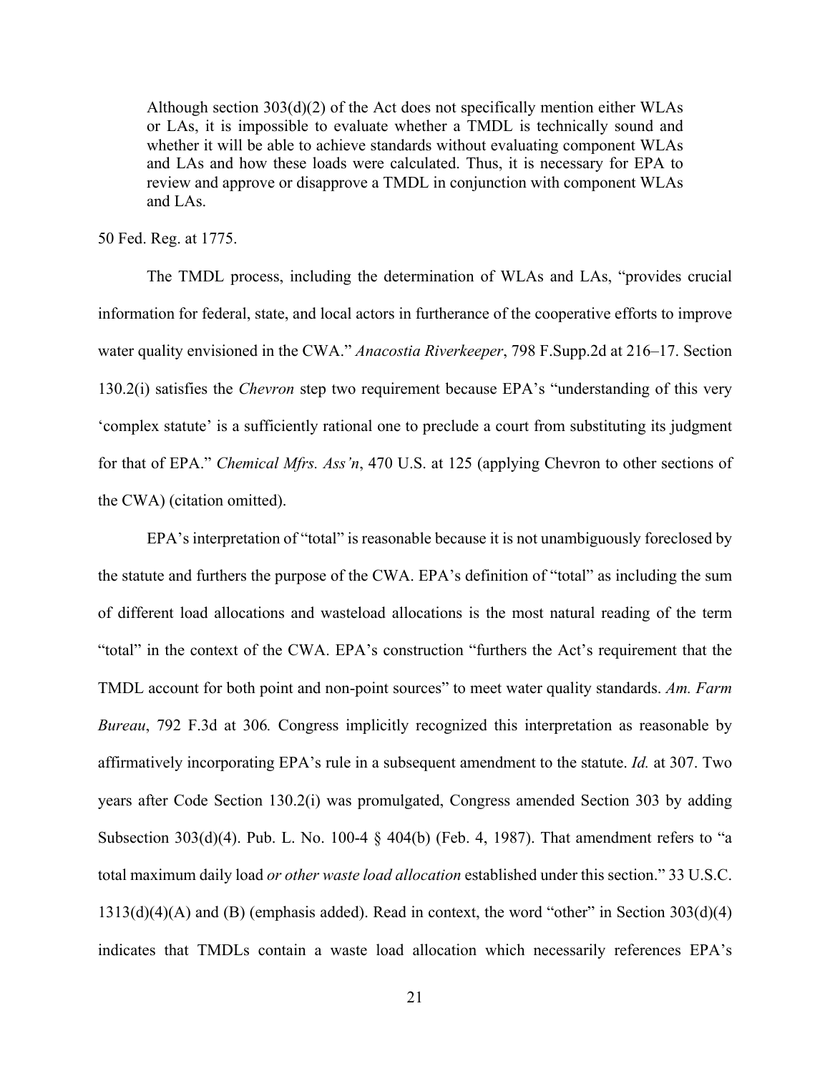Although section  $303(d)(2)$  of the Act does not specifically mention either WLAs or LAs, it is impossible to evaluate whether a TMDL is technically sound and whether it will be able to achieve standards without evaluating component WLAs and LAs and how these loads were calculated. Thus, it is necessary for EPA to review and approve or disapprove a TMDL in conjunction with component WLAs and LAs.

50 Fed. Reg. at 1775.

The TMDL process, including the determination of WLAs and LAs, "provides crucial information for federal, state, and local actors in furtherance of the cooperative efforts to improve water quality envisioned in the CWA." *Anacostia Riverkeeper*, 798 F.Supp.2d at 216–17. Section 130.2(i) satisfies the *Chevron* step two requirement because EPA's "understanding of this very 'complex statute' is a sufficiently rational one to preclude a court from substituting its judgment for that of EPA." *Chemical Mfrs. Ass'n*, 470 U.S. at 125 (applying Chevron to other sections of the CWA) (citation omitted).

EPA's interpretation of "total" is reasonable because it is not unambiguously foreclosed by the statute and furthers the purpose of the CWA. EPA's definition of "total" as including the sum of different load allocations and wasteload allocations is the most natural reading of the term "total" in the context of the CWA. EPA's construction "furthers the Act's requirement that the TMDL account for both point and non-point sources" to meet water quality standards. *Am. Farm Bureau*, 792 F.3d at 306*.* Congress implicitly recognized this interpretation as reasonable by affirmatively incorporating EPA's rule in a subsequent amendment to the statute. *Id.* at 307. Two years after Code Section 130.2(i) was promulgated, Congress amended Section 303 by adding Subsection 303(d)(4). Pub. L. No. 100-4 § 404(b) (Feb. 4, 1987). That amendment refers to "a total maximum daily load *or other waste load allocation* established under this section." 33 U.S.C.  $1313(d)(4)(A)$  and (B) (emphasis added). Read in context, the word "other" in Section  $303(d)(4)$ indicates that TMDLs contain a waste load allocation which necessarily references EPA's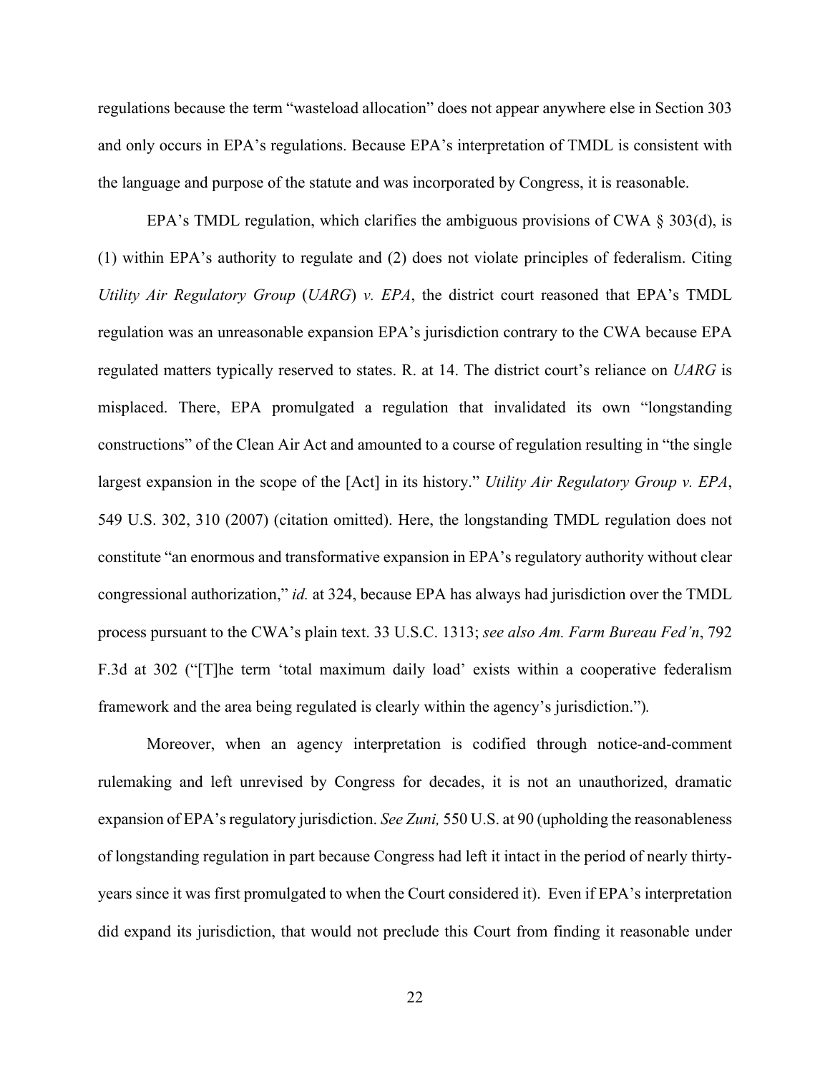regulations because the term "wasteload allocation" does not appear anywhere else in Section 303 and only occurs in EPA's regulations. Because EPA's interpretation of TMDL is consistent with the language and purpose of the statute and was incorporated by Congress, it is reasonable.

EPA's TMDL regulation, which clarifies the ambiguous provisions of CWA  $\S 303(d)$ , is (1) within EPA's authority to regulate and (2) does not violate principles of federalism. Citing *Utility Air Regulatory Group* (*UARG*) *v. EPA*, the district court reasoned that EPA's TMDL regulation was an unreasonable expansion EPA's jurisdiction contrary to the CWA because EPA regulated matters typically reserved to states. R. at 14. The district court's reliance on *UARG* is misplaced. There, EPA promulgated a regulation that invalidated its own "longstanding constructions" of the Clean Air Act and amounted to a course of regulation resulting in "the single largest expansion in the scope of the [Act] in its history." *Utility Air Regulatory Group v. EPA*, 549 U.S. 302, 310 (2007) (citation omitted). Here, the longstanding TMDL regulation does not constitute "an enormous and transformative expansion in EPA's regulatory authority without clear congressional authorization," *id.* at 324, because EPA has always had jurisdiction over the TMDL process pursuant to the CWA's plain text. 33 U.S.C. 1313; *see also Am. Farm Bureau Fed'n*, 792 F.3d at 302 ("[T]he term 'total maximum daily load' exists within a cooperative federalism framework and the area being regulated is clearly within the agency's jurisdiction.")*.*

Moreover, when an agency interpretation is codified through notice-and-comment rulemaking and left unrevised by Congress for decades, it is not an unauthorized, dramatic expansion of EPA's regulatory jurisdiction. *See Zuni,* 550 U.S. at 90 (upholding the reasonableness of longstanding regulation in part because Congress had left it intact in the period of nearly thirtyyears since it was first promulgated to when the Court considered it). Even if EPA's interpretation did expand its jurisdiction, that would not preclude this Court from finding it reasonable under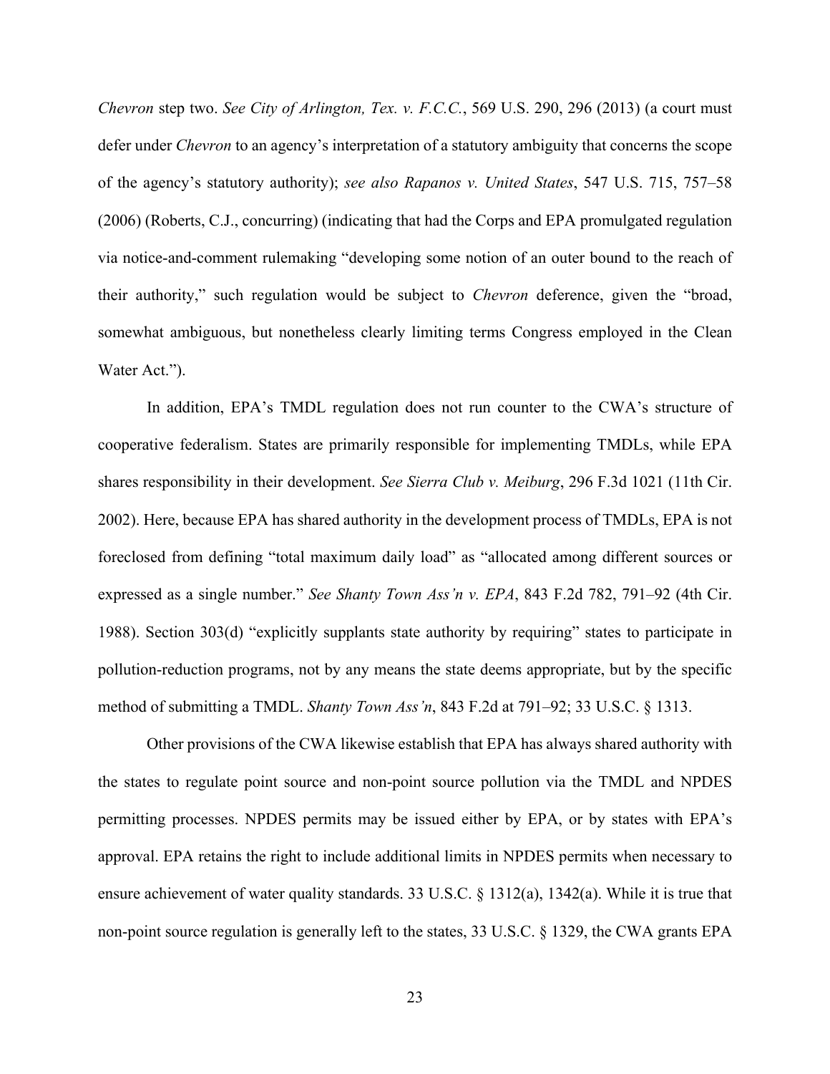*Chevron* step two. *See City of Arlington, Tex. v. F.C.C.*, 569 U.S. 290, 296 (2013) (a court must defer under *Chevron* to an agency's interpretation of a statutory ambiguity that concerns the scope of the agency's statutory authority); *see also Rapanos v. United States*, 547 U.S. 715, 757–58 (2006) (Roberts, C.J., concurring) (indicating that had the Corps and EPA promulgated regulation via notice-and-comment rulemaking "developing some notion of an outer bound to the reach of their authority," such regulation would be subject to *Chevron* deference, given the "broad, somewhat ambiguous, but nonetheless clearly limiting terms Congress employed in the Clean Water Act.").

In addition, EPA's TMDL regulation does not run counter to the CWA's structure of cooperative federalism. States are primarily responsible for implementing TMDLs, while EPA shares responsibility in their development. *See Sierra Club v. Meiburg*, 296 F.3d 1021 (11th Cir. 2002). Here, because EPA has shared authority in the development process of TMDLs, EPA is not foreclosed from defining "total maximum daily load" as "allocated among different sources or expressed as a single number." *See Shanty Town Ass'n v. EPA*, 843 F.2d 782, 791–92 (4th Cir. 1988). Section 303(d) "explicitly supplants state authority by requiring" states to participate in pollution-reduction programs, not by any means the state deems appropriate, but by the specific method of submitting a TMDL. *Shanty Town Ass'n*, 843 F.2d at 791–92; 33 U.S.C. § 1313.

Other provisions of the CWA likewise establish that EPA has always shared authority with the states to regulate point source and non-point source pollution via the TMDL and NPDES permitting processes. NPDES permits may be issued either by EPA, or by states with EPA's approval. EPA retains the right to include additional limits in NPDES permits when necessary to ensure achievement of water quality standards. 33 U.S.C. § 1312(a), 1342(a). While it is true that non-point source regulation is generally left to the states, 33 U.S.C. § 1329, the CWA grants EPA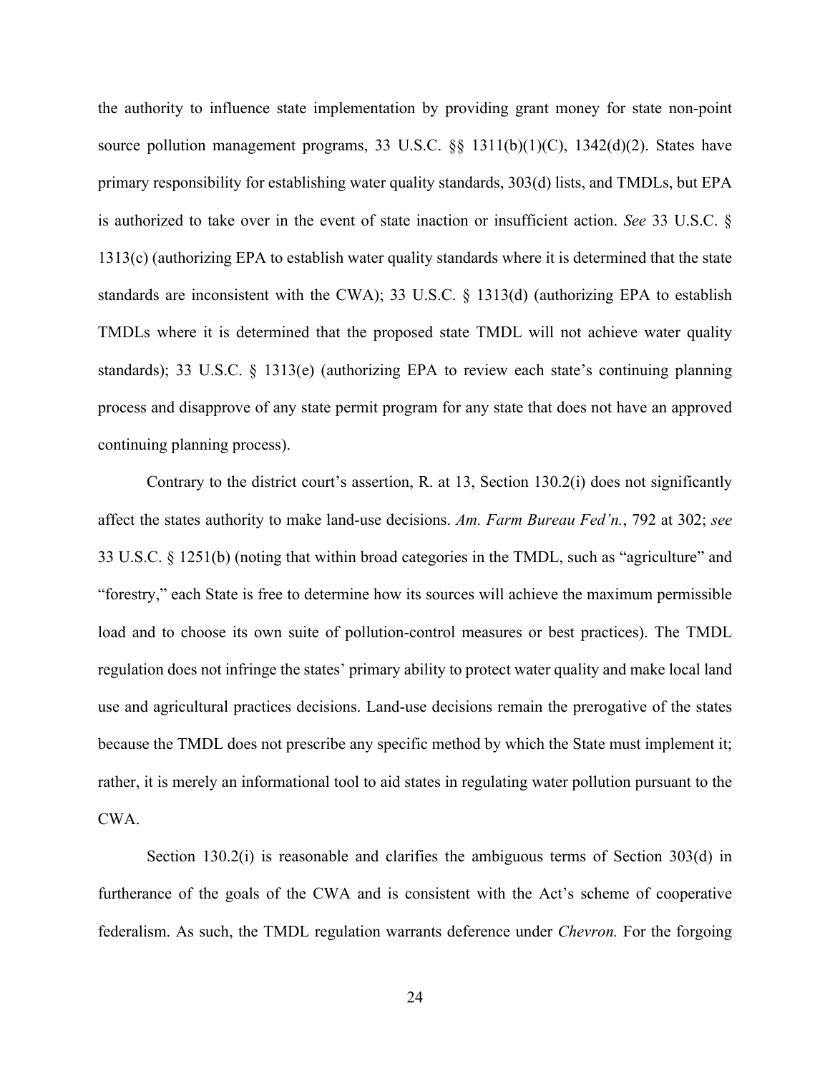the authority to influence state implementation by providing grant money for state non-point source pollution management programs, 33 U.S.C. §§ 1311(b)(1)(C), 1342(d)(2). States have primary responsibility for establishing water quality standards, 303(d) lists, and TMDLs, but EPA is authorized to take over in the event of state inaction or insufficient action. *See* 33 U.S.C. § 1313(c) (authorizing EPA to establish water quality standards where it is determined that the state standards are inconsistent with the CWA); 33 U.S.C. § 1313(d) (authorizing EPA to establish TMDLs where it is determined that the proposed state TMDL will not achieve water quality standards); 33 U.S.C. § 1313(e) (authorizing EPA to review each state's continuing planning process and disapprove of any state permit program for any state that does not have an approved continuing planning process).

Contrary to the district court's assertion, R. at 13, Section  $130.2(i)$  does not significantly affect the states authority to make land-use decisions. *Am. Farm Bureau Fed'n.*, 792 at 302; *see*  33 U.S.C. § 1251(b) (noting that within broad categories in the TMDL, such as "agriculture" and "forestry," each State is free to determine how its sources will achieve the maximum permissible load and to choose its own suite of pollution-control measures or best practices). The TMDL regulation does not infringe the states' primary ability to protect water quality and make local land use and agricultural practices decisions. Land-use decisions remain the prerogative of the states because the TMDL does not prescribe any specific method by which the State must implement it; rather, it is merely an informational tool to aid states in regulating water pollution pursuant to the CWA.

Section 130.2(i) is reasonable and clarifies the ambiguous terms of Section 303(d) in furtherance of the goals of the CWA and is consistent with the Act's scheme of cooperative federalism. As such, the TMDL regulation warrants deference under *Chevron.* For the forgoing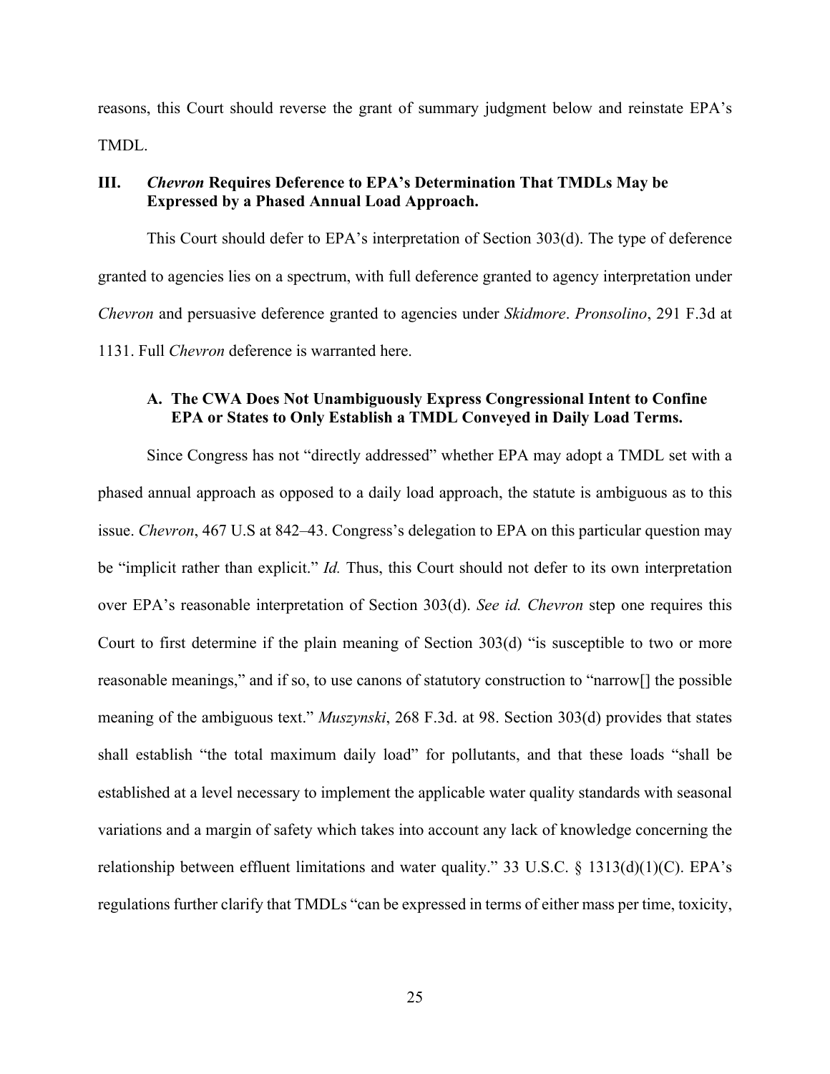reasons, this Court should reverse the grant of summary judgment below and reinstate EPA's TMDL.

## **III.** *Chevron* **Requires Deference to EPA's Determination That TMDLs May be Expressed by a Phased Annual Load Approach.**

This Court should defer to EPA's interpretation of Section 303(d). The type of deference granted to agencies lies on a spectrum, with full deference granted to agency interpretation under *Chevron* and persuasive deference granted to agencies under *Skidmore*. *Pronsolino*, 291 F.3d at 1131. Full *Chevron* deference is warranted here.

# **A. The CWA Does Not Unambiguously Express Congressional Intent to Confine EPA or States to Only Establish a TMDL Conveyed in Daily Load Terms.**

Since Congress has not "directly addressed" whether EPA may adopt a TMDL set with a phased annual approach as opposed to a daily load approach, the statute is ambiguous as to this issue. *Chevron*, 467 U.S at 842–43. Congress's delegation to EPA on this particular question may be "implicit rather than explicit." *Id.* Thus, this Court should not defer to its own interpretation over EPA's reasonable interpretation of Section 303(d). *See id. Chevron* step one requires this Court to first determine if the plain meaning of Section 303(d) "is susceptible to two or more reasonable meanings," and if so, to use canons of statutory construction to "narrow[] the possible meaning of the ambiguous text." *Muszynski*, 268 F.3d. at 98. Section 303(d) provides that states shall establish "the total maximum daily load" for pollutants, and that these loads "shall be established at a level necessary to implement the applicable water quality standards with seasonal variations and a margin of safety which takes into account any lack of knowledge concerning the relationship between effluent limitations and water quality." 33 U.S.C. § 1313(d)(1)(C). EPA's regulations further clarify that TMDLs "can be expressed in terms of either mass per time, toxicity,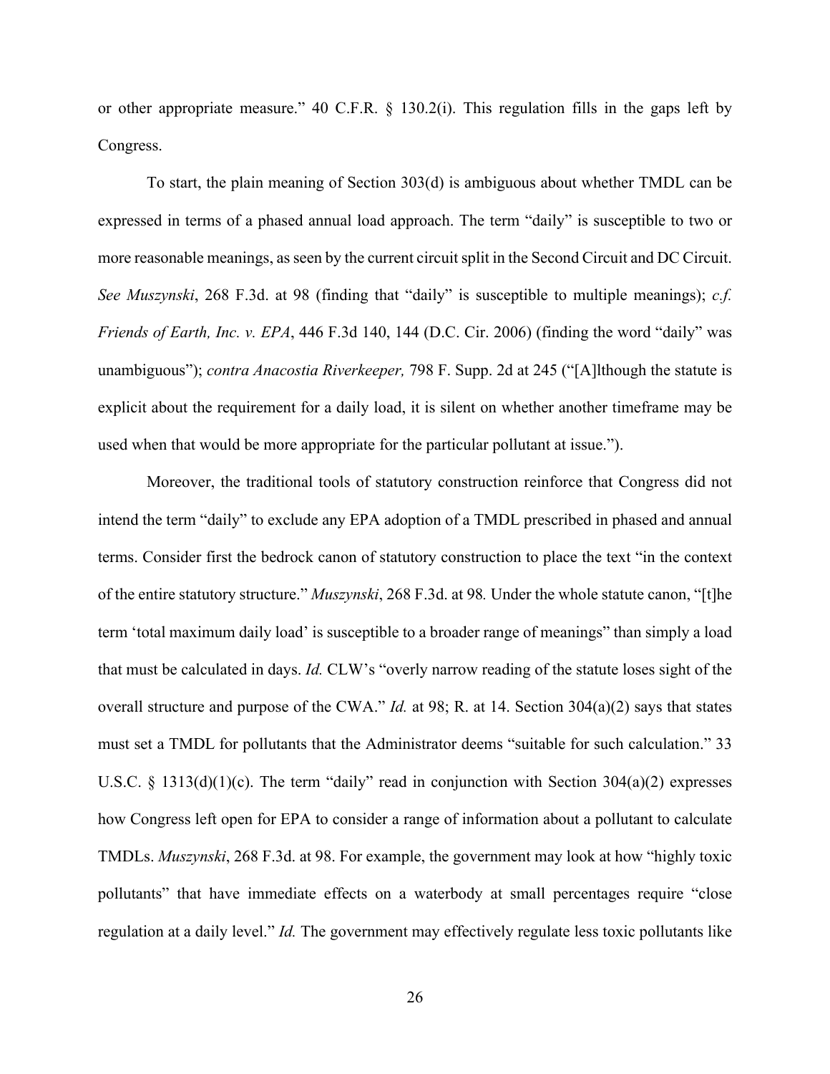or other appropriate measure." 40 C.F.R. § 130.2(i). This regulation fills in the gaps left by Congress.

To start, the plain meaning of Section 303(d) is ambiguous about whether TMDL can be expressed in terms of a phased annual load approach. The term "daily" is susceptible to two or more reasonable meanings, as seen by the current circuit split in the Second Circuit and DC Circuit. *See Muszynski*, 268 F.3d. at 98 (finding that "daily" is susceptible to multiple meanings); *c.f. Friends of Earth, Inc. v. EPA*, 446 F.3d 140, 144 (D.C. Cir. 2006) (finding the word "daily" was unambiguous"); *contra Anacostia Riverkeeper,* 798 F. Supp. 2d at 245 ("[A]lthough the statute is explicit about the requirement for a daily load, it is silent on whether another timeframe may be used when that would be more appropriate for the particular pollutant at issue.").

Moreover, the traditional tools of statutory construction reinforce that Congress did not intend the term "daily" to exclude any EPA adoption of a TMDL prescribed in phased and annual terms. Consider first the bedrock canon of statutory construction to place the text "in the context of the entire statutory structure." *Muszynski*, 268 F.3d. at 98*.* Under the whole statute canon, "[t]he term 'total maximum daily load' is susceptible to a broader range of meanings" than simply a load that must be calculated in days. *Id.* CLW's "overly narrow reading of the statute loses sight of the overall structure and purpose of the CWA." *Id.* at 98; R. at 14. Section 304(a)(2) says that states must set a TMDL for pollutants that the Administrator deems "suitable for such calculation." 33 U.S.C. § 1313(d)(1)(c). The term "daily" read in conjunction with Section 304(a)(2) expresses how Congress left open for EPA to consider a range of information about a pollutant to calculate TMDLs. *Muszynski*, 268 F.3d. at 98. For example, the government may look at how "highly toxic pollutants" that have immediate effects on a waterbody at small percentages require "close regulation at a daily level." *Id.* The government may effectively regulate less toxic pollutants like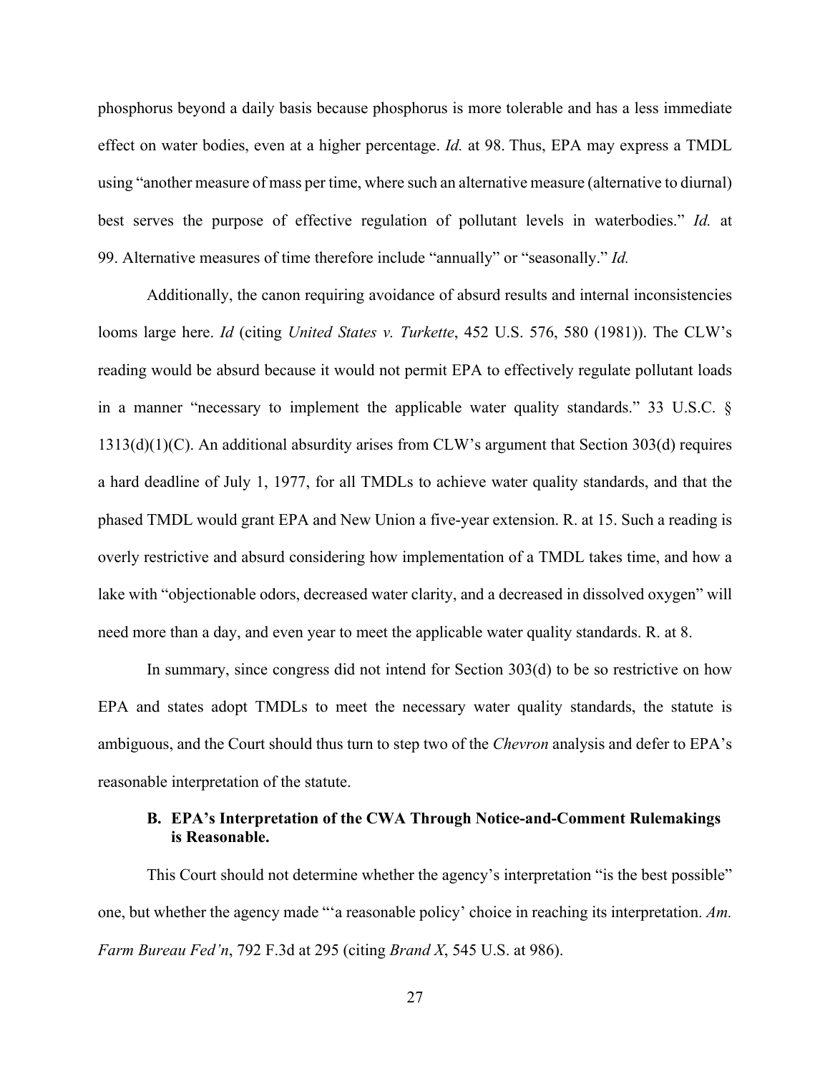phosphorus beyond a daily basis because phosphorus is more tolerable and has a less immediate effect on water bodies, even at a higher percentage. *Id.* at 98. Thus, EPA may express a TMDL using "another measure of mass per time, where such an alternative measure (alternative to diurnal) best serves the purpose of effective regulation of pollutant levels in waterbodies." *Id.* at 99. Alternative measures of time therefore include "annually" or "seasonally." *Id.*

Additionally, the canon requiring avoidance of absurd results and internal inconsistencies looms large here. *Id* (citing *United States v. Turkette*, 452 U.S. 576, 580 (1981)). The CLW's reading would be absurd because it would not permit EPA to effectively regulate pollutant loads in a manner "necessary to implement the applicable water quality standards." 33 U.S.C. § 1313(d)(1)(C). An additional absurdity arises from CLW's argument that Section 303(d) requires a hard deadline of July 1, 1977, for all TMDLs to achieve water quality standards, and that the phased TMDL would grant EPA and New Union a five-year extension. R. at 15. Such a reading is overly restrictive and absurd considering how implementation of a TMDL takes time, and how a lake with "objectionable odors, decreased water clarity, and a decreased in dissolved oxygen" will need more than a day, and even year to meet the applicable water quality standards. R. at 8.

In summary, since congress did not intend for Section 303(d) to be so restrictive on how EPA and states adopt TMDLs to meet the necessary water quality standards, the statute is ambiguous, and the Court should thus turn to step two of the *Chevron* analysis and defer to EPA's reasonable interpretation of the statute.

## **B. EPA's Interpretation of the CWA Through Notice-and-Comment Rulemakings is Reasonable.**

This Court should not determine whether the agency's interpretation "is the best possible" one, but whether the agency made "'a reasonable policy' choice in reaching its interpretation. *Am. Farm Bureau Fed'n*, 792 F.3d at 295 (citing *Brand X*, 545 U.S. at 986).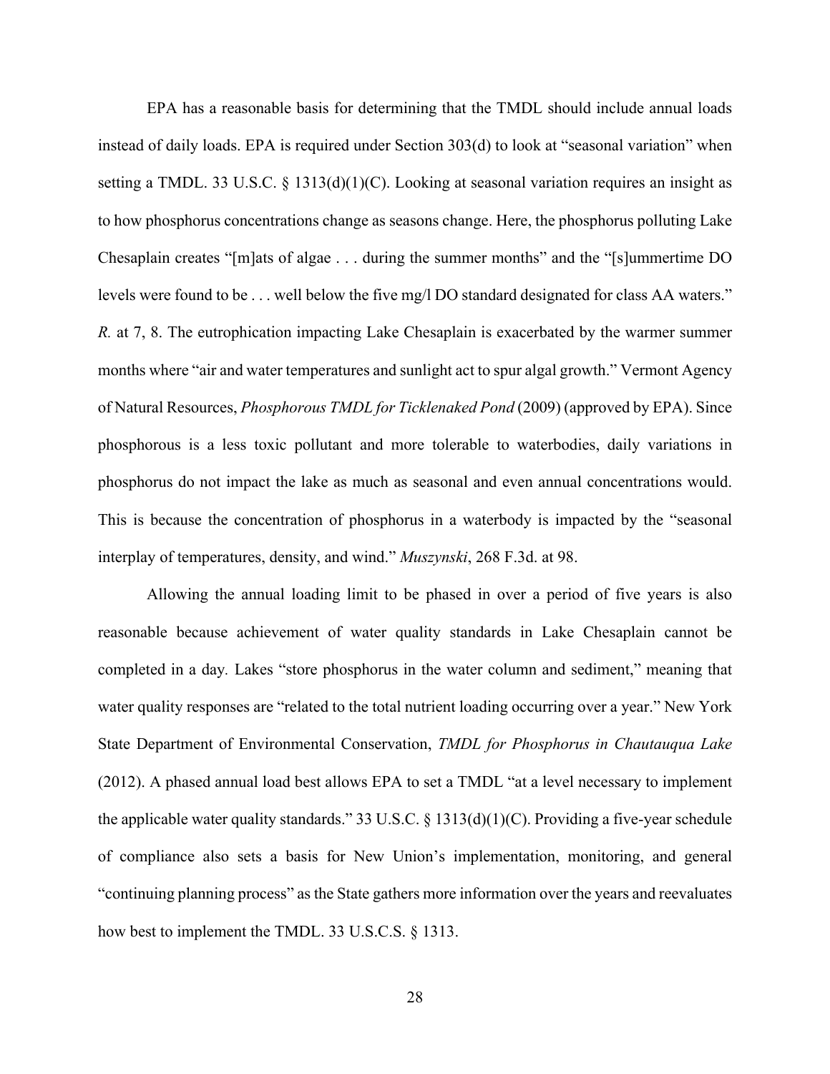EPA has a reasonable basis for determining that the TMDL should include annual loads instead of daily loads. EPA is required under Section 303(d) to look at "seasonal variation" when setting a TMDL. 33 U.S.C.  $\S$  1313(d)(1)(C). Looking at seasonal variation requires an insight as to how phosphorus concentrations change as seasons change. Here, the phosphorus polluting Lake Chesaplain creates "[m]ats of algae . . . during the summer months" and the "[s]ummertime DO levels were found to be . . . well below the five mg/l DO standard designated for class AA waters." *R.* at 7, 8. The eutrophication impacting Lake Chesaplain is exacerbated by the warmer summer months where "air and water temperatures and sunlight act to spur algal growth." Vermont Agency of Natural Resources, *Phosphorous TMDL for Ticklenaked Pond* (2009) (approved by EPA). Since phosphorous is a less toxic pollutant and more tolerable to waterbodies, daily variations in phosphorus do not impact the lake as much as seasonal and even annual concentrations would. This is because the concentration of phosphorus in a waterbody is impacted by the "seasonal interplay of temperatures, density, and wind." *Muszynski*, 268 F.3d. at 98.

Allowing the annual loading limit to be phased in over a period of five years is also reasonable because achievement of water quality standards in Lake Chesaplain cannot be completed in a day*.* Lakes "store phosphorus in the water column and sediment," meaning that water quality responses are "related to the total nutrient loading occurring over a year." New York State Department of Environmental Conservation, *TMDL for Phosphorus in Chautauqua Lake* (2012). A phased annual load best allows EPA to set a TMDL "at a level necessary to implement the applicable water quality standards." 33 U.S.C. § 1313(d)(1)(C). Providing a five-year schedule of compliance also sets a basis for New Union's implementation, monitoring, and general "continuing planning process" as the State gathers more information over the years and reevaluates how best to implement the TMDL. 33 U.S.C.S. § 1313.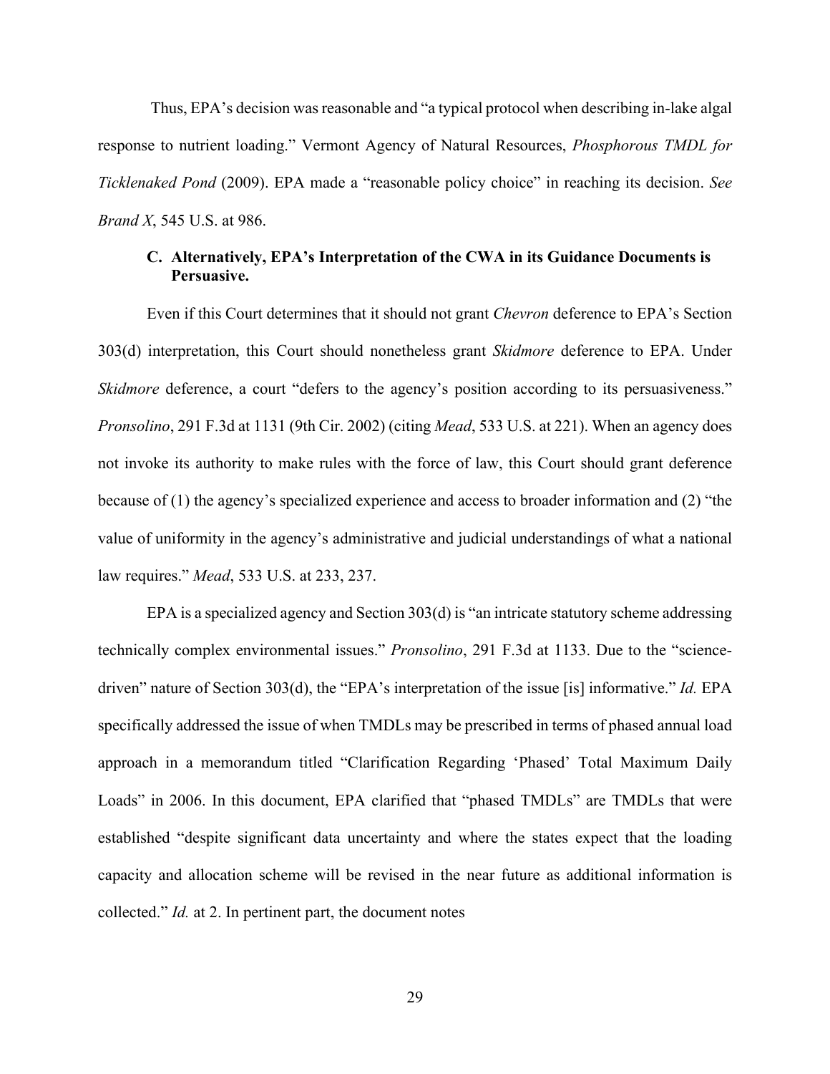Thus, EPA's decision was reasonable and "a typical protocol when describing in-lake algal response to nutrient loading." Vermont Agency of Natural Resources, *Phosphorous TMDL for Ticklenaked Pond* (2009). EPA made a "reasonable policy choice" in reaching its decision. *See Brand X*, 545 U.S. at 986.

### **C. Alternatively, EPA's Interpretation of the CWA in its Guidance Documents is Persuasive.**

Even if this Court determines that it should not grant *Chevron* deference to EPA's Section 303(d) interpretation, this Court should nonetheless grant *Skidmore* deference to EPA. Under *Skidmore* deference, a court "defers to the agency's position according to its persuasiveness." *Pronsolino*, 291 F.3d at 1131 (9th Cir. 2002) (citing *Mead*, 533 U.S. at 221). When an agency does not invoke its authority to make rules with the force of law, this Court should grant deference because of (1) the agency's specialized experience and access to broader information and (2) "the value of uniformity in the agency's administrative and judicial understandings of what a national law requires." *Mead*, 533 U.S. at 233, 237.

EPA is a specialized agency and Section 303(d) is "an intricate statutory scheme addressing technically complex environmental issues." *Pronsolino*, 291 F.3d at 1133. Due to the "sciencedriven" nature of Section 303(d), the "EPA's interpretation of the issue [is] informative." *Id.* EPA specifically addressed the issue of when TMDLs may be prescribed in terms of phased annual load approach in a memorandum titled "Clarification Regarding 'Phased' Total Maximum Daily Loads" in 2006. In this document, EPA clarified that "phased TMDLs" are TMDLs that were established "despite significant data uncertainty and where the states expect that the loading capacity and allocation scheme will be revised in the near future as additional information is collected." *Id.* at 2. In pertinent part, the document notes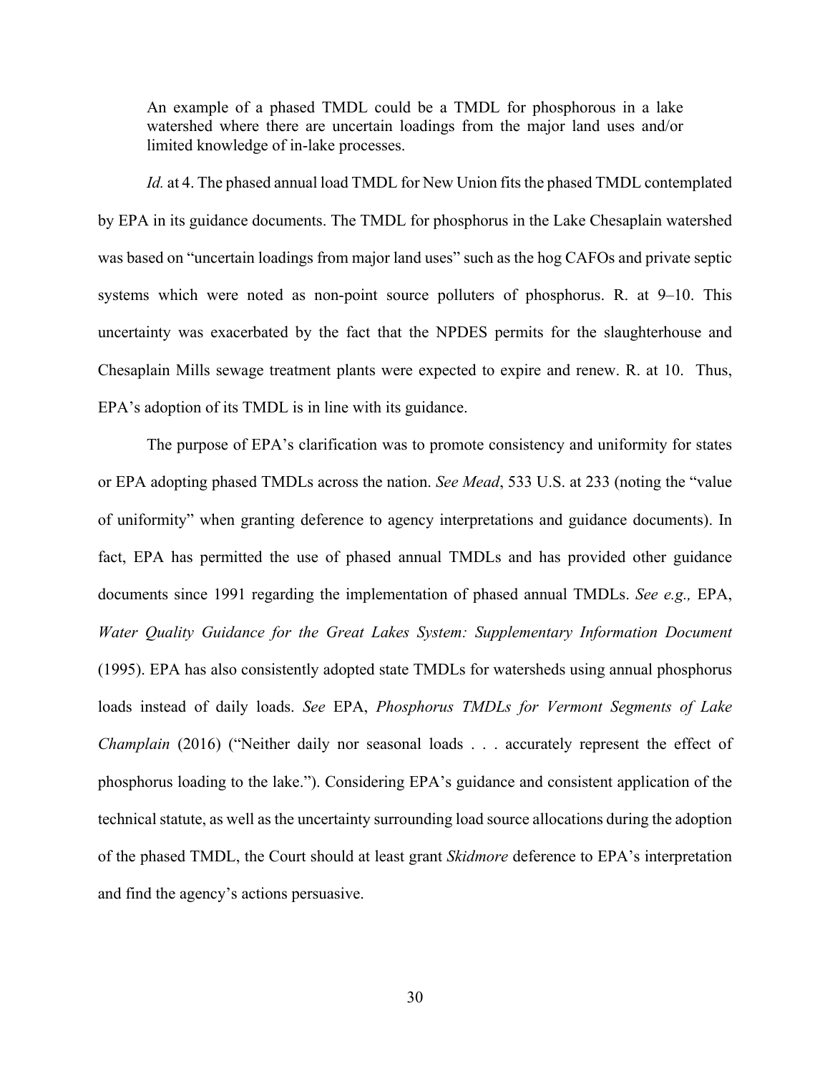An example of a phased TMDL could be a TMDL for phosphorous in a lake watershed where there are uncertain loadings from the major land uses and/or limited knowledge of in-lake processes.

*Id.* at 4. The phased annual load TMDL for New Union fits the phased TMDL contemplated by EPA in its guidance documents. The TMDL for phosphorus in the Lake Chesaplain watershed was based on "uncertain loadings from major land uses" such as the hog CAFOs and private septic systems which were noted as non-point source polluters of phosphorus. R. at 9–10. This uncertainty was exacerbated by the fact that the NPDES permits for the slaughterhouse and Chesaplain Mills sewage treatment plants were expected to expire and renew. R. at 10. Thus, EPA's adoption of its TMDL is in line with its guidance.

The purpose of EPA's clarification was to promote consistency and uniformity for states or EPA adopting phased TMDLs across the nation. *See Mead*, 533 U.S. at 233 (noting the "value of uniformity" when granting deference to agency interpretations and guidance documents). In fact, EPA has permitted the use of phased annual TMDLs and has provided other guidance documents since 1991 regarding the implementation of phased annual TMDLs. *See e.g.,* EPA, *Water Quality Guidance for the Great Lakes System: Supplementary Information Document* (1995). EPA has also consistently adopted state TMDLs for watersheds using annual phosphorus loads instead of daily loads. *See* EPA, *Phosphorus TMDLs for Vermont Segments of Lake Champlain* (2016) ("Neither daily nor seasonal loads . . . accurately represent the effect of phosphorus loading to the lake."). Considering EPA's guidance and consistent application of the technical statute, as well as the uncertainty surrounding load source allocations during the adoption of the phased TMDL, the Court should at least grant *Skidmore* deference to EPA's interpretation and find the agency's actions persuasive.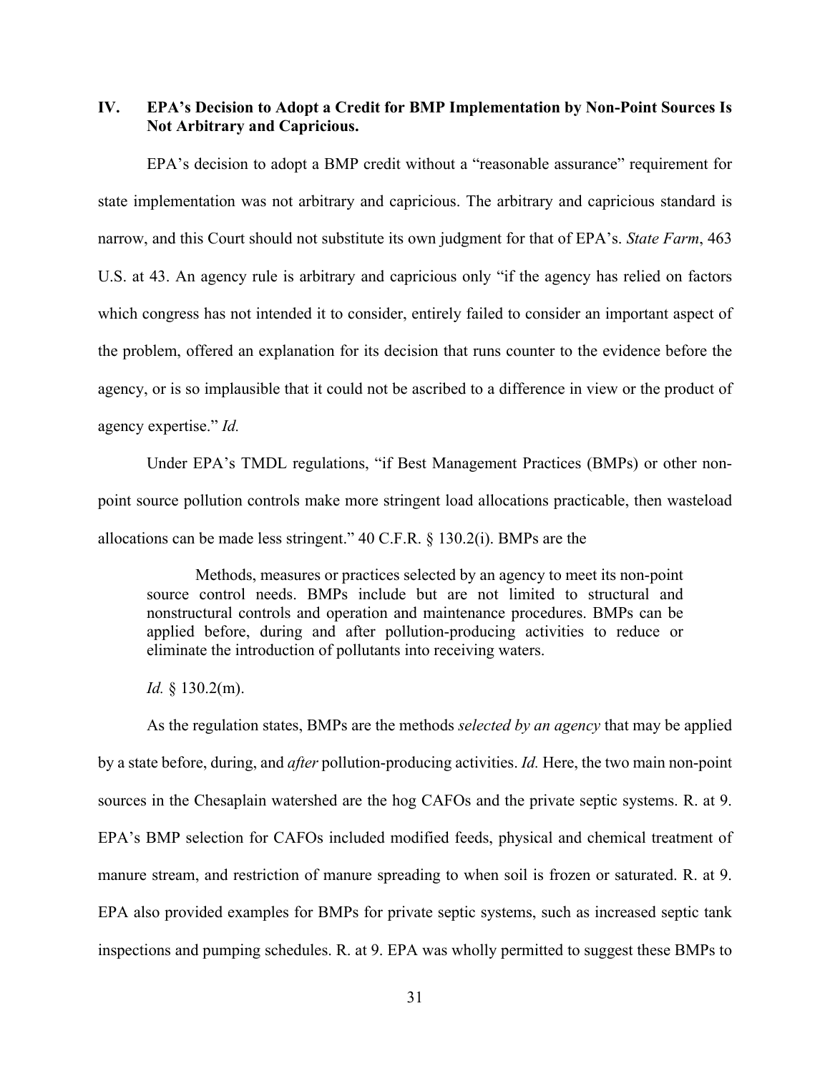**IV. EPA's Decision to Adopt a Credit for BMP Implementation by Non-Point Sources Is Not Arbitrary and Capricious.**

EPA's decision to adopt a BMP credit without a "reasonable assurance" requirement for state implementation was not arbitrary and capricious. The arbitrary and capricious standard is narrow, and this Court should not substitute its own judgment for that of EPA's. *State Farm*, 463 U.S. at 43. An agency rule is arbitrary and capricious only "if the agency has relied on factors which congress has not intended it to consider, entirely failed to consider an important aspect of the problem, offered an explanation for its decision that runs counter to the evidence before the agency, or is so implausible that it could not be ascribed to a difference in view or the product of agency expertise." *Id.*

Under EPA's TMDL regulations, "if Best Management Practices (BMPs) or other nonpoint source pollution controls make more stringent load allocations practicable, then wasteload allocations can be made less stringent." 40 C.F.R. § 130.2(i). BMPs are the

Methods, measures or practices selected by an agency to meet its non-point source control needs. BMPs include but are not limited to structural and nonstructural controls and operation and maintenance procedures. BMPs can be applied before, during and after pollution-producing activities to reduce or eliminate the introduction of pollutants into receiving waters.

*Id.* § 130.2(m).

As the regulation states, BMPs are the methods *selected by an agency* that may be applied by a state before, during, and *after* pollution-producing activities. *Id.* Here, the two main non-point sources in the Chesaplain watershed are the hog CAFOs and the private septic systems. R. at 9. EPA's BMP selection for CAFOs included modified feeds, physical and chemical treatment of manure stream, and restriction of manure spreading to when soil is frozen or saturated. R. at 9. EPA also provided examples for BMPs for private septic systems, such as increased septic tank inspections and pumping schedules. R. at 9. EPA was wholly permitted to suggest these BMPs to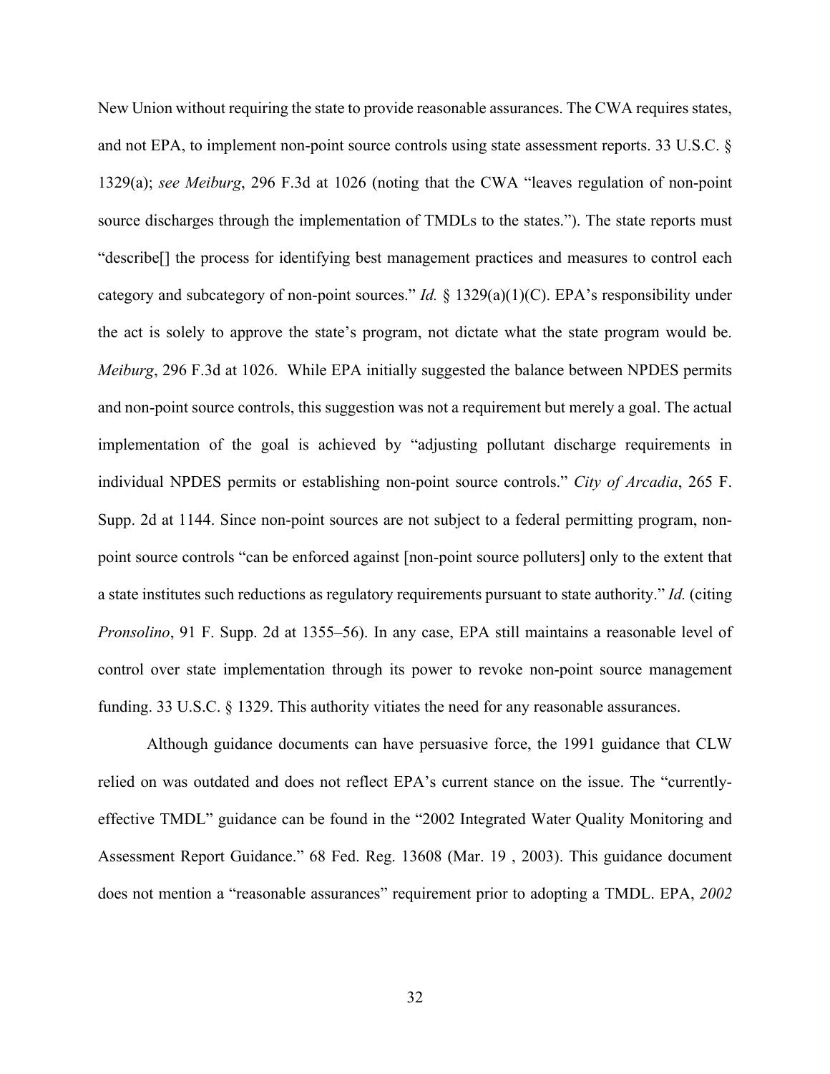New Union without requiring the state to provide reasonable assurances. The CWA requires states, and not EPA, to implement non-point source controls using state assessment reports. 33 U.S.C. § 1329(a); *see Meiburg*, 296 F.3d at 1026 (noting that the CWA "leaves regulation of non-point source discharges through the implementation of TMDLs to the states."). The state reports must "describe[] the process for identifying best management practices and measures to control each category and subcategory of non-point sources." *Id.* § 1329(a)(1)(C). EPA's responsibility under the act is solely to approve the state's program, not dictate what the state program would be. *Meiburg*, 296 F.3d at 1026. While EPA initially suggested the balance between NPDES permits and non-point source controls, this suggestion was not a requirement but merely a goal. The actual implementation of the goal is achieved by "adjusting pollutant discharge requirements in individual NPDES permits or establishing non-point source controls." *City of Arcadia*, 265 F. Supp. 2d at 1144. Since non-point sources are not subject to a federal permitting program, nonpoint source controls "can be enforced against [non-point source polluters] only to the extent that a state institutes such reductions as regulatory requirements pursuant to state authority." *Id.* (citing *Pronsolino*, 91 F. Supp. 2d at 1355–56). In any case, EPA still maintains a reasonable level of control over state implementation through its power to revoke non-point source management funding. 33 U.S.C. § 1329. This authority vitiates the need for any reasonable assurances.

Although guidance documents can have persuasive force, the 1991 guidance that CLW relied on was outdated and does not reflect EPA's current stance on the issue. The "currentlyeffective TMDL" guidance can be found in the "2002 Integrated Water Quality Monitoring and Assessment Report Guidance." 68 Fed. Reg. 13608 (Mar. 19 , 2003). This guidance document does not mention a "reasonable assurances" requirement prior to adopting a TMDL. EPA, *2002*